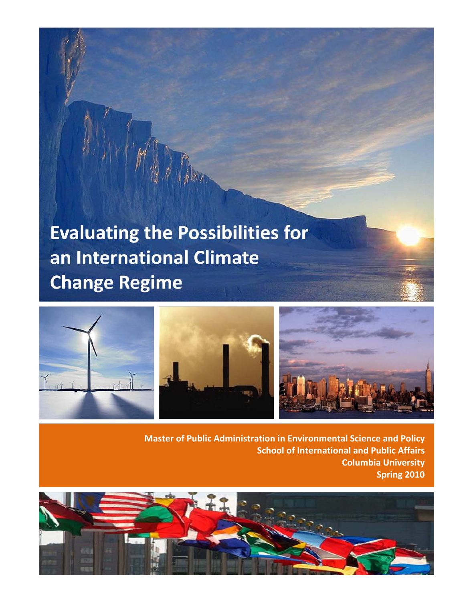# **Evaluating the Possibilities for** an International Climate **Change Regime**



**Master of Public Administration in Environmental Science and Policy School of International and Public Affairs Columbia University Spring 2010**

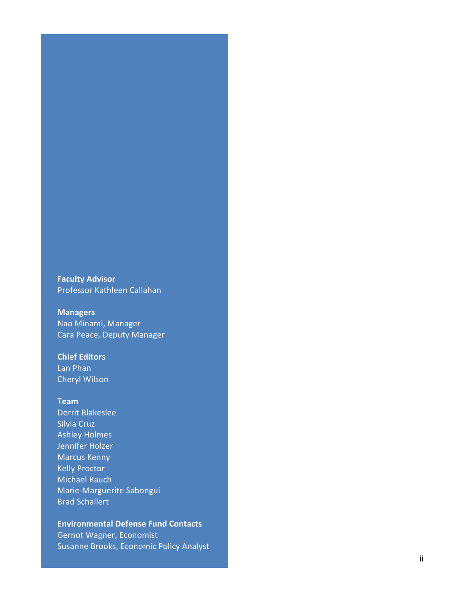**Faculty Advisor**  Professor Kathleen Callahan

### **Managers**  Nao Minami, Manager Cara Peace, Deputy Manager

### **Chief Editors**

Lan Phan Cheryl Wilson

#### **Team**

Dorrit Blakeslee Silvia Cruz Ashley Holme s Jennifer Holzer Marcus Kenny Kelly Proctor Michael Rauch Marie -Marguerite Sabongui Brad Schallert

#### **Environmental Defense Fund Contacts**

Gernot Wagner, Economist Susanne Brooks, Economic Policy Analyst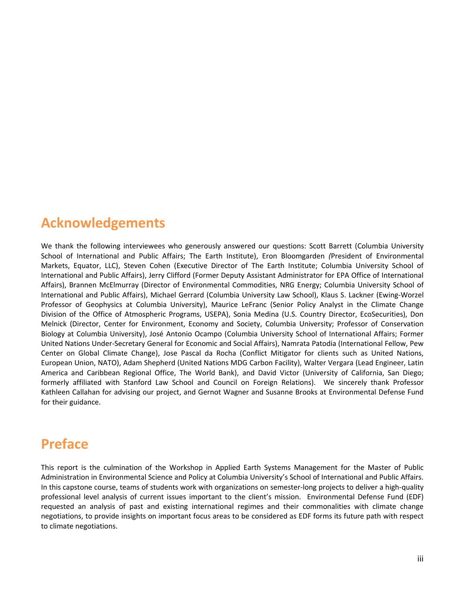## <span id="page-2-0"></span>**Acknowledgements**

We thank the following interviewees who generously answered our questions: Scott Barrett (Columbia University School of International and Public Affairs; The Earth Institute), Eron Bloomgarden *(*President of Environmental Markets, Equator, LLC), Steven Cohen (Executive Director of The Earth Institute; Columbia University School of International and Public Affairs), Jerry Clifford (Former Deputy Assistant Administrator for EPA Office of International Affairs), Brannen McElmurray (Director of Environmental Commodities, NRG Energy; Columbia University School of International and Public Affairs), Michael Gerrard (Columbia University Law School), Klaus S. Lackner (Ewing-Worzel Professor of Geophysics at Columbia University), Maurice LeFranc (Senior Policy Analyst in the Climate Change Division of the Office of Atmospheric Programs, USEPA), Sonia Medina (U.S. Country Director, EcoSecurities), Don Melnick (Director, Center for Environment, Economy and Society, Columbia University; Professor of Conservation Biology at Columbia University), José Antonio Ocampo (Columbia University School of International Affairs; Former United Nations Under-Secretary General for Economic and Social Affairs), Namrata Patodia (International Fellow, Pew Center on Global Climate Change), Jose Pascal da Rocha (Conflict Mitigator for clients such as United Nations, European Union, NATO), Adam Shepherd (United Nations MDG Carbon Facility), Walter Vergara (Lead Engineer, Latin America and Caribbean Regional Office, The World Bank), and David Victor (University of California, San Diego; formerly affiliated with Stanford Law School and Council on Foreign Relations). We sincerely thank Professor Kathleen Callahan for advising our project, and Gernot Wagner and Susanne Brooks at Environmental Defense Fund for their guidance.

## <span id="page-2-1"></span>**Preface**

This report is the culmination of the Workshop in Applied Earth Systems Management for the Master of Public Administration in Environmental Science and Policy at Columbia University's School of International and Public Affairs. In this capstone course, teams of students work with organizations on semester-long projects to deliver a high-quality professional level analysis of current issues important to the client's mission. Environmental Defense Fund (EDF) requested an analysis of past and existing international regimes and their commonalities with climate change negotiations, to provide insights on important focus areas to be considered as EDF forms its future path with respect to climate negotiations.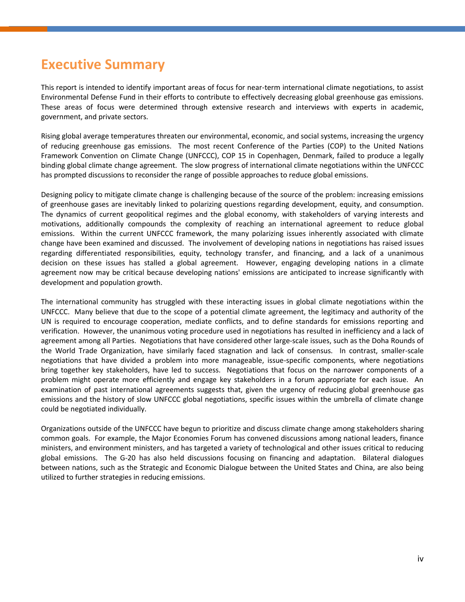## <span id="page-3-0"></span>**Executive Summary**

This report is intended to identify important areas of focus for near-term international climate negotiations, to assist Environmental Defense Fund in their efforts to contribute to effectively decreasing global greenhouse gas emissions. These areas of focus were determined through extensive research and interviews with experts in academic, government, and private sectors.

Rising global average temperatures threaten our environmental, economic, and social systems, increasing the urgency of reducing greenhouse gas emissions. The most recent Conference of the Parties (COP) to the United Nations Framework Convention on Climate Change (UNFCCC), COP 15 in Copenhagen, Denmark, failed to produce a legally binding global climate change agreement. The slow progress of international climate negotiations within the UNFCCC has prompted discussions to reconsider the range of possible approaches to reduce global emissions.

Designing policy to mitigate climate change is challenging because of the source of the problem: increasing emissions of greenhouse gases are inevitably linked to polarizing questions regarding development, equity, and consumption. The dynamics of current geopolitical regimes and the global economy, with stakeholders of varying interests and motivations, additionally compounds the complexity of reaching an international agreement to reduce global emissions. Within the current UNFCCC framework, the many polarizing issues inherently associated with climate change have been examined and discussed. The involvement of developing nations in negotiations has raised issues regarding differentiated responsibilities, equity, technology transfer, and financing, and a lack of a unanimous decision on these issues has stalled a global agreement. However, engaging developing nations in a climate agreement now may be critical because developing nations' emissions are anticipated to increase significantly with development and population growth.

The international community has struggled with these interacting issues in global climate negotiations within the UNFCCC. Many believe that due to the scope of a potential climate agreement, the legitimacy and authority of the UN is required to encourage cooperation, mediate conflicts, and to define standards for emissions reporting and verification. However, the unanimous voting procedure used in negotiations has resulted in inefficiency and a lack of agreement among all Parties. Negotiations that have considered other large-scale issues, such as the Doha Rounds of the World Trade Organization, have similarly faced stagnation and lack of consensus. In contrast, smaller-scale negotiations that have divided a problem into more manageable, issue-specific components, where negotiations bring together key stakeholders, have led to success. Negotiations that focus on the narrower components of a problem might operate more efficiently and engage key stakeholders in a forum appropriate for each issue. An examination of past international agreements suggests that, given the urgency of reducing global greenhouse gas emissions and the history of slow UNFCCC global negotiations, specific issues within the umbrella of climate change could be negotiated individually.

Organizations outside of the UNFCCC have begun to prioritize and discuss climate change among stakeholders sharing common goals. For example, the Major Economies Forum has convened discussions among national leaders, finance ministers, and environment ministers, and has targeted a variety of technological and other issues critical to reducing global emissions. The G-20 has also held discussions focusing on financing and adaptation. Bilateral dialogues between nations, such as the Strategic and Economic Dialogue between the United States and China, are also being utilized to further strategies in reducing emissions.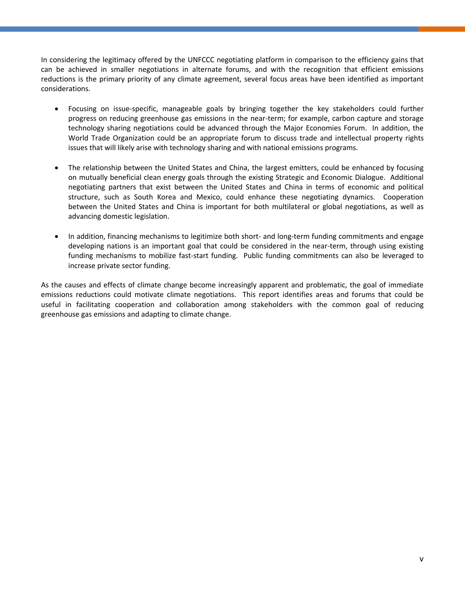In considering the legitimacy offered by the UNFCCC negotiating platform in comparison to the efficiency gains that can be achieved in smaller negotiations in alternate forums, and with the recognition that efficient emissions reductions is the primary priority of any climate agreement, several focus areas have been identified as important considerations.

- Focusing on issue-specific, manageable goals by bringing together the key stakeholders could further progress on reducing greenhouse gas emissions in the near-term; for example, carbon capture and storage technology sharing negotiations could be advanced through the Major Economies Forum. In addition, the World Trade Organization could be an appropriate forum to discuss trade and intellectual property rights issues that will likely arise with technology sharing and with national emissions programs.
- The relationship between the United States and China, the largest emitters, could be enhanced by focusing on mutually beneficial clean energy goals through the existing Strategic and Economic Dialogue. Additional negotiating partners that exist between the United States and China in terms of economic and political structure, such as South Korea and Mexico, could enhance these negotiating dynamics. Cooperation between the United States and China is important for both multilateral or global negotiations, as well as advancing domestic legislation.
- In addition, financing mechanisms to legitimize both short- and long-term funding commitments and engage developing nations is an important goal that could be considered in the near-term, through using existing funding mechanisms to mobilize fast-start funding. Public funding commitments can also be leveraged to increase private sector funding.

As the causes and effects of climate change become increasingly apparent and problematic, the goal of immediate emissions reductions could motivate climate negotiations. This report identifies areas and forums that could be useful in facilitating cooperation and collaboration among stakeholders with the common goal of reducing greenhouse gas emissions and adapting to climate change.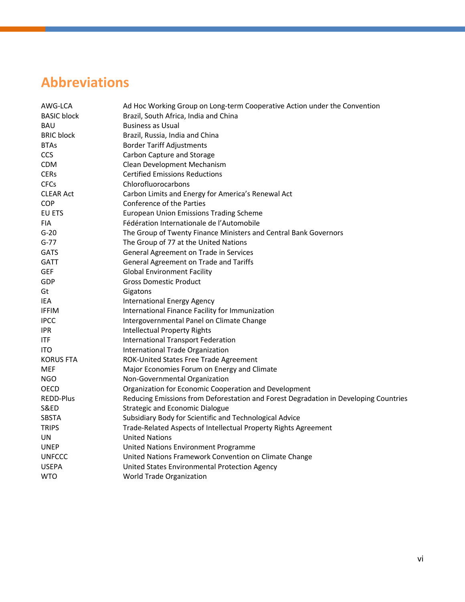## <span id="page-5-0"></span>**Abbreviations**

| AWG-LCA            | Ad Hoc Working Group on Long-term Cooperative Action under the Convention            |
|--------------------|--------------------------------------------------------------------------------------|
| <b>BASIC block</b> | Brazil, South Africa, India and China                                                |
| <b>BAU</b>         | <b>Business as Usual</b>                                                             |
| <b>BRIC block</b>  | Brazil, Russia, India and China                                                      |
| <b>BTAs</b>        | <b>Border Tariff Adjustments</b>                                                     |
| <b>CCS</b>         | Carbon Capture and Storage                                                           |
| <b>CDM</b>         | Clean Development Mechanism                                                          |
| <b>CERs</b>        | <b>Certified Emissions Reductions</b>                                                |
| <b>CFCs</b>        | Chlorofluorocarbons                                                                  |
| <b>CLEAR Act</b>   | Carbon Limits and Energy for America's Renewal Act                                   |
| COP                | Conference of the Parties                                                            |
| EU ETS             | <b>European Union Emissions Trading Scheme</b>                                       |
| <b>FIA</b>         | Fédération Internationale de l'Automobile                                            |
| $G-20$             | The Group of Twenty Finance Ministers and Central Bank Governors                     |
| $G-77$             | The Group of 77 at the United Nations                                                |
| <b>GATS</b>        | General Agreement on Trade in Services                                               |
| <b>GATT</b>        | General Agreement on Trade and Tariffs                                               |
| <b>GEF</b>         | <b>Global Environment Facility</b>                                                   |
| GDP                | <b>Gross Domestic Product</b>                                                        |
| Gt                 | Gigatons                                                                             |
| <b>IEA</b>         | <b>International Energy Agency</b>                                                   |
| <b>IFFIM</b>       | International Finance Facility for Immunization                                      |
| <b>IPCC</b>        | Intergovernmental Panel on Climate Change                                            |
| <b>IPR</b>         | <b>Intellectual Property Rights</b>                                                  |
| <b>ITF</b>         | International Transport Federation                                                   |
| <b>ITO</b>         | International Trade Organization                                                     |
| <b>KORUS FTA</b>   | ROK-United States Free Trade Agreement                                               |
| <b>MEF</b>         | Major Economies Forum on Energy and Climate                                          |
| <b>NGO</b>         | Non-Governmental Organization                                                        |
| OECD               | Organization for Economic Cooperation and Development                                |
| <b>REDD-Plus</b>   | Reducing Emissions from Deforestation and Forest Degradation in Developing Countries |
| <b>S&amp;ED</b>    | <b>Strategic and Economic Dialogue</b>                                               |
| <b>SBSTA</b>       | Subsidiary Body for Scientific and Technological Advice                              |
| <b>TRIPS</b>       | Trade-Related Aspects of Intellectual Property Rights Agreement                      |
| UN                 | <b>United Nations</b>                                                                |
| <b>UNEP</b>        | United Nations Environment Programme                                                 |
| <b>UNFCCC</b>      | United Nations Framework Convention on Climate Change                                |
| <b>USEPA</b>       | United States Environmental Protection Agency                                        |
| <b>WTO</b>         | World Trade Organization                                                             |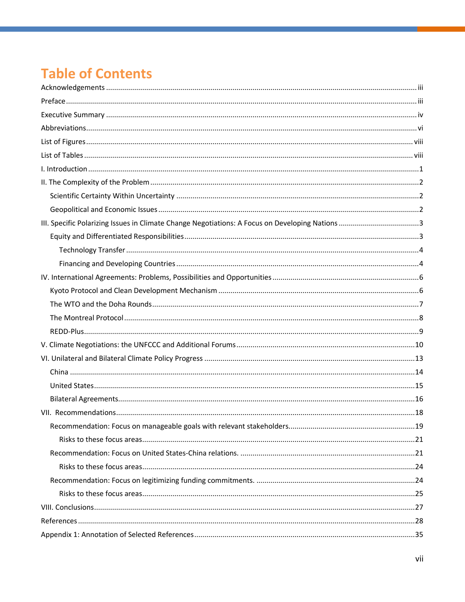## **Table of Contents**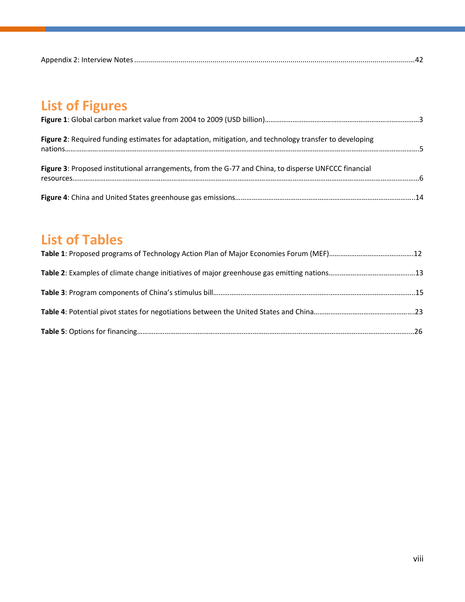|--|

## <span id="page-7-0"></span>**List of Figures**

| Figure 2: Required funding estimates for adaptation, mitigation, and technology transfer to developing |  |
|--------------------------------------------------------------------------------------------------------|--|
| Figure 3: Proposed institutional arrangements, from the G-77 and China, to disperse UNFCCC financial   |  |
|                                                                                                        |  |

## <span id="page-7-1"></span>**List of Tables**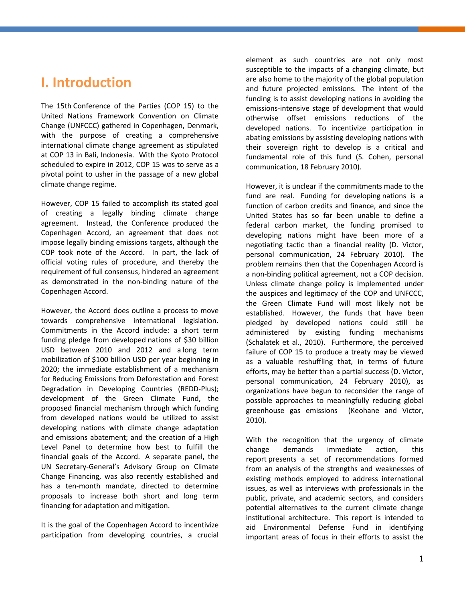### <span id="page-8-0"></span>**I. Introduction**

The 15th Conference of the Parties (COP 15) to the United Nations Framework Convention on Climate Change (UNFCCC) gathered in Copenhagen, Denmark, with the purpose of creating a comprehensive international climate change agreement as stipulated at COP 13 in Bali, Indonesia. With the Kyoto Protocol scheduled to expire in 2012, COP 15 was to serve as a pivotal point to usher in the passage of a new global climate change regime.

However, COP 15 failed to accomplish its stated goal of creating a legally binding climate change agreement. Instead, the Conference produced the Copenhagen Accord, an agreement that does not impose legally binding emissions targets, although the COP took note of the Accord. In part, the lack of official voting rules of procedure, and thereby the requirement of full consensus, hindered an agreement as demonstrated in the non-binding nature of the Copenhagen Accord.

However, the Accord does outline a process to move towards comprehensive international legislation. Commitments in the Accord include: a short term funding pledge from developed nations of \$30 billion USD between 2010 and 2012 and a long term mobilization of \$100 billion USD per year beginning in 2020; the immediate establishment of a mechanism for Reducing Emissions from Deforestation and Forest Degradation in Developing Countries (REDD-Plus); development of the Green Climate Fund, the proposed financial mechanism through which funding from developed nations would be utilized to assist developing nations with climate change adaptation and emissions abatement; and the creation of a High Level Panel to determine how best to fulfill the financial goals of the Accord. A separate panel, the UN Secretary-General's Advisory Group on Climate Change Financing, was also recently established and has a ten-month mandate, directed to determine proposals to increase both short and long term financing for adaptation and mitigation.

It is the goal of the Copenhagen Accord to incentivize participation from developing countries, a crucial element as such countries are not only most susceptible to the impacts of a changing climate, but are also home to the majority of the global population and future projected emissions. The intent of the funding is to assist developing nations in avoiding the emissions-intensive stage of development that would otherwise offset emissions reductions of the developed nations. To incentivize participation in abating emissions by assisting developing nations with their sovereign right to develop is a critical and fundamental role of this fund (S. Cohen, personal communication, 18 February 2010).

However, it is unclear if the commitments made to the fund are real. Funding for developing nations is a function of carbon credits and finance, and since the United States has so far been unable to define a federal carbon market, the funding promised to developing nations might have been more of a negotiating tactic than a financial reality (D. Victor, personal communication, 24 February 2010). The problem remains then that the Copenhagen Accord is a non-binding political agreement, not a COP decision. Unless climate change policy is implemented under the auspices and legitimacy of the COP and UNFCCC, the Green Climate Fund will most likely not be established. However, the funds that have been pledged by developed nations could still be administered by existing funding mechanisms (Schalatek et al., 2010). Furthermore, the perceived failure of COP 15 to produce a treaty may be viewed as a valuable reshuffling that, in terms of future efforts, may be better than a partial success (D. Victor, personal communication, 24 February 2010), as organizations have begun to reconsider the range of possible approaches to meaningfully reducing global greenhouse gas emissions (Keohane and Victor, 2010).

With the recognition that the urgency of climate change demands immediate action, this report presents a set of recommendations formed from an analysis of the strengths and weaknesses of existing methods employed to address international issues, as well as interviews with professionals in the public, private, and academic sectors, and considers potential alternatives to the current climate change institutional architecture. This report is intended to aid Environmental Defense Fund in identifying important areas of focus in their efforts to assist the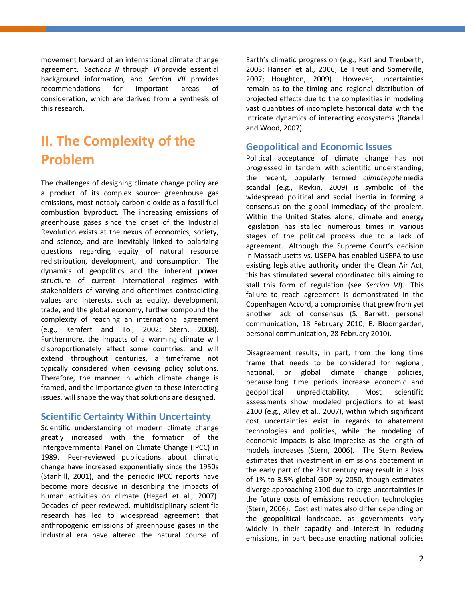movement forward of an international climate change agreement. *Sections II* through *VI* provide essential background information, and *Section VII* provides recommendations for important areas of consideration, which are derived from a synthesis of this research.

## <span id="page-9-0"></span>**II. The Complexity of the Problem**

The challenges of designing climate change policy are a product of its complex source: greenhouse gas emissions, most notably carbon dioxide as a fossil fuel combustion byproduct. The increasing emissions of greenhouse gases since the onset of the Industrial Revolution exists at the nexus of economics, society, and science, and are inevitably linked to polarizing questions regarding equity of natural resource redistribution, development, and consumption. The dynamics of geopolitics and the inherent power structure of current international regimes with stakeholders of varying and oftentimes contradicting values and interests, such as equity, development, trade, and the global economy, further compound the complexity of reaching an international agreement (e.g., Kemfert and Tol, 2002; Stern, 2008). Furthermore, the impacts of a warming climate will disproportionately affect some countries, and will extend throughout centuries, a timeframe not typically considered when devising policy solutions. Therefore, the manner in which climate change is framed, and the importance given to these interacting issues, will shape the way that solutions are designed.

### <span id="page-9-1"></span>**Scientific Certainty Within Uncertainty**

Scientific understanding of modern climate change greatly increased with the formation of the Intergovernmental Panel on Climate Change (IPCC) in 1989. Peer-reviewed publications about climatic change have increased exponentially since the 1950s (Stanhill, 2001), and the periodic IPCC reports have become more decisive in describing the impacts of human activities on climate (Hegerl et al., 2007). Decades of peer-reviewed, multidisciplinary scientific research has led to widespread agreement that anthropogenic emissions of greenhouse gases in the industrial era have altered the natural course of

Earth's climatic progression (e.g., Karl and Trenberth, 2003; Hansen et al., 2006; Le Treut and Somerville, 2007; Houghton, 2009). However, uncertainties remain as to the timing and regional distribution of projected effects due to the complexities in modeling vast quantities of incomplete historical data with the intricate dynamics of interacting ecosystems (Randall and Wood, 2007).

### <span id="page-9-2"></span>**Geopolitical and Economic Issues**

Political acceptance of climate change has not progressed in tandem with scientific understanding; the recent, popularly termed *climategate* media scandal (e.g., Revkin, 2009) is symbolic of the widespread political and social inertia in forming a consensus on the global immediacy of the problem. Within the United States alone, climate and energy legislation has stalled numerous times in various stages of the political process due to a lack of agreement. Although the Supreme Court's decision in Massachusetts vs. USEPA has enabled USEPA to use existing legislative authority under the Clean Air Act, this has stimulated several coordinated bills aiming to stall this form of regulation (see *Section VI*). This failure to reach agreement is demonstrated in the Copenhagen Accord, a compromise that grew from yet another lack of consensus (S. Barrett, personal communication, 18 February 2010; E. Bloomgarden, personal communication, 28 February 2010).

Disagreement results, in part, from the long time frame that needs to be considered for regional, national, or global climate change policies, because long time periods increase economic and geopolitical unpredictability. Most scientific assessments show modeled projections to at least 2100 (e.g., Alley et al., 2007), within which significant cost uncertainties exist in regards to abatement technologies and policies, while the modeling of economic impacts is also imprecise as the length of models increases (Stern, 2006). The Stern Review estimates that investment in emissions abatement in the early part of the 21st century may result in a loss of 1% to 3.5% global GDP by 2050, though estimates diverge approaching 2100 due to large uncertainties in the future costs of emissions reduction technologies (Stern, 2006). Cost estimates also differ depending on the geopolitical landscape, as governments vary widely in their capacity and interest in reducing emissions, in part because enacting national policies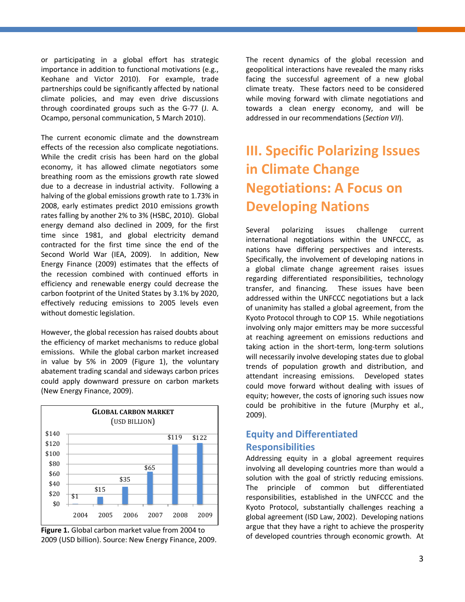or participating in a global effort has strategic importance in addition to functional motivations (e.g., Keohane and Victor 2010). For example, trade partnerships could be significantly affected by national climate policies, and may even drive discussions through coordinated groups such as the G-77 (J. A. Ocampo, personal communication, 5 March 2010).

The current economic climate and the downstream effects of the recession also complicate negotiations. While the credit crisis has been hard on the global economy, it has allowed climate negotiators some breathing room as the emissions growth rate slowed due to a decrease in industrial activity. Following a halving of the global emissions growth rate to 1.73% in 2008, early estimates predict 2010 emissions growth rates falling by another 2% to 3% (HSBC, 2010). Global energy demand also declined in 2009, for the first time since 1981, and global electricity demand contracted for the first time since the end of the Second World War (IEA, 2009). In addition, New Energy Finance (2009) estimates that the effects of the recession combined with continued efforts in efficiency and renewable energy could decrease the carbon footprint of the United States by 3.1% by 2020, effectively reducing emissions to 2005 levels even without domestic legislation.

However, the global recession has raised doubts about the efficiency of market mechanisms to reduce global emissions. While the global carbon market increased in value by 5% in 2009 (Figure 1), the voluntary abatement trading scandal and sideways carbon prices could apply downward pressure on carbon markets (New Energy Finance, 2009).



**Figure 1.** Global carbon market value from 2004 to 2009 (USD billion). Source: New Energy Finance, 2009. The recent dynamics of the global recession and geopolitical interactions have revealed the many risks facing the successful agreement of a new global climate treaty. These factors need to be considered while moving forward with climate negotiations and towards a clean energy economy, and will be addressed in our recommendations (*Section VII*).

## <span id="page-10-0"></span>**III. Specific Polarizing Issues in Climate Change Negotiations: A Focus on Developing Nations**

Several polarizing issues challenge current international negotiations within the UNFCCC, as nations have differing perspectives and interests. Specifically, the involvement of developing nations in a global climate change agreement raises issues regarding differentiated responsibilities, technology transfer, and financing. These issues have been addressed within the UNFCCC negotiations but a lack of unanimity has stalled a global agreement, from the Kyoto Protocol through to COP 15. While negotiations involving only major emitters may be more successful at reaching agreement on emissions reductions and taking action in the short-term, long-term solutions will necessarily involve developing states due to global trends of population growth and distribution, and attendant increasing emissions. Developed states could move forward without dealing with issues of equity; however, the costs of ignoring such issues now could be prohibitive in the future (Murphy et al., 2009).

### <span id="page-10-1"></span>**Equity and Differentiated Responsibilities**

Addressing equity in a global agreement requires involving all developing countries more than would a solution with the goal of strictly reducing emissions. The principle of common but differentiated responsibilities, established in the UNFCCC and the Kyoto Protocol, substantially challenges reaching a global agreement (ISD Law, 2002). Developing nations argue that they have a right to achieve the prosperity of developed countries through economic growth. At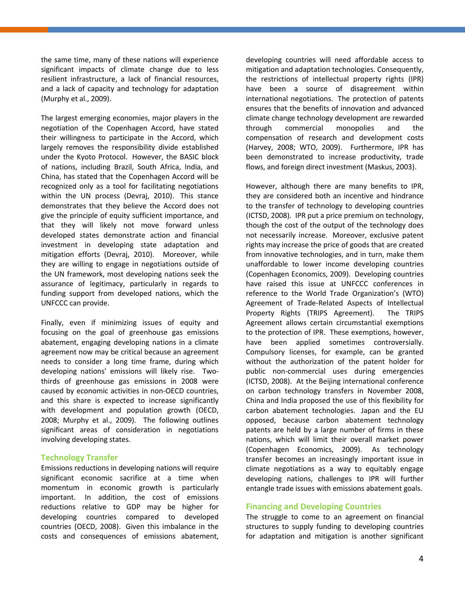the same time, many of these nations will experience significant impacts of climate change due to less resilient infrastructure, a lack of financial resources, and a lack of capacity and technology for adaptation (Murphy et al., 2009).

The largest emerging economies, major players in the negotiation of the Copenhagen Accord, have stated their willingness to participate in the Accord, which largely removes the responsibility divide established under the Kyoto Protocol. However, the BASIC block of nations, including Brazil, South Africa, India, and China, has stated that the Copenhagen Accord will be recognized only as a tool for facilitating negotiations within the UN process (Devraj, 2010). This stance demonstrates that they believe the Accord does not give the principle of equity sufficient importance, and that they will likely not move forward unless developed states demonstrate action and financial investment in developing state adaptation and mitigation efforts (Devraj, 2010). Moreover, while they are willing to engage in negotiations outside of the UN framework, most developing nations seek the assurance of legitimacy, particularly in regards to funding support from developed nations, which the UNFCCC can provide.

Finally, even if minimizing issues of equity and focusing on the goal of greenhouse gas emissions abatement, engaging developing nations in a climate agreement now may be critical because an agreement needs to consider a long time frame, during which developing nations' emissions will likely rise. Twothirds of greenhouse gas emissions in 2008 were caused by economic activities in non-OECD countries, and this share is expected to increase significantly with development and population growth (OECD, 2008; Murphy et al., 2009). The following outlines significant areas of consideration in negotiations involving developing states.

#### <span id="page-11-0"></span>**Technology Transfer**

Emissions reductions in developing nations will require significant economic sacrifice at a time when momentum in economic growth is particularly important. In addition, the cost of emissions reductions relative to GDP may be higher for developing countries compared to developed countries (OECD, 2008). Given this imbalance in the costs and consequences of emissions abatement, developing countries will need affordable access to mitigation and adaptation technologies. Consequently, the restrictions of intellectual property rights (IPR) have been a source of disagreement within international negotiations. The protection of patents ensures that the benefits of innovation and advanced climate change technology development are rewarded through commercial monopolies and the compensation of research and development costs (Harvey, 2008; WTO, 2009). Furthermore, IPR has been demonstrated to increase productivity, trade flows, and foreign direct investment (Maskus, 2003).

However, although there are many benefits to IPR, they are considered both an incentive and hindrance to the transfer of technology to developing countries (ICTSD, 2008). IPR put a price premium on technology, though the cost of the output of the technology does not necessarily increase. Moreover, exclusive patent rights may increase the price of goods that are created from innovative technologies, and in turn, make them unaffordable to lower income developing countries (Copenhagen Economics, 2009). Developing countries have raised this issue at UNFCCC conferences in reference to the World Trade Organization's (WTO) Agreement of Trade-Related Aspects of Intellectual Property Rights (TRIPS Agreement). The TRIPS Agreement allows certain circumstantial exemptions to the protection of IPR. These exemptions, however, have been applied sometimes controversially. Compulsory licenses, for example, can be granted without the authorization of the patent holder for public non-commercial uses during emergencies (ICTSD, 2008). At the Beijing international conference on carbon technology transfers in November 2008, China and India proposed the use of this flexibility for carbon abatement technologies. Japan and the EU opposed, because carbon abatement technology patents are held by a large number of firms in these nations, which will limit their overall market power (Copenhagen Economics, 2009). As technology transfer becomes an increasingly important issue in climate negotiations as a way to equitably engage developing nations, challenges to IPR will further entangle trade issues with emissions abatement goals.

#### <span id="page-11-1"></span>**Financing and Developing Countries**

The struggle to come to an agreement on financial structures to supply funding to developing countries for adaptation and mitigation is another significant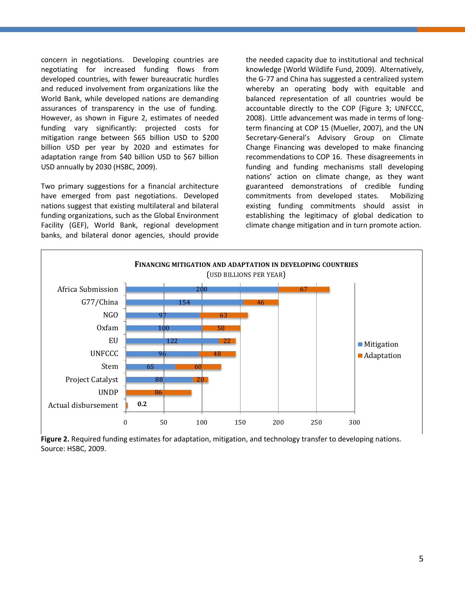concern in negotiations. Developing countries are negotiating for increased funding flows from developed countries, with fewer bureaucratic hurdles and reduced involvement from organizations like the World Bank, while developed nations are demanding assurances of transparency in the use of funding. However, as shown in Figure 2, estimates of needed funding vary significantly: projected costs for mitigation range between \$65 billion USD to \$200 billion USD per year by 2020 and estimates for adaptation range from \$40 billion USD to \$67 billion USD annually by 2030 (HSBC, 2009).

Two primary suggestions for a financial architecture have emerged from past negotiations. Developed nations suggest that existing multilateral and bilateral funding organizations, such as the Global Environment Facility (GEF), World Bank, regional development banks, and bilateral donor agencies, should provide

the needed capacity due to institutional and technical knowledge (World Wildlife Fund, 2009). Alternatively, the G-77 and China has suggested a centralized system whereby an operating body with equitable and balanced representation of all countries would be accountable directly to the COP (Figure 3; UNFCCC, 2008). Little advancement was made in terms of longterm financing at COP 15 (Mueller, 2007), and the UN Secretary-General's Advisory Group on Climate Change Financing was developed to make financing recommendations to COP 16. These disagreements in funding and funding mechanisms stall developing nations' action on climate change, as they want guaranteed demonstrations of credible funding commitments from developed states. Mobilizing existing funding commitments should assist in establishing the legitimacy of global dedication to climate change mitigation and in turn promote action.



**Figure 2.** Required funding estimates for adaptation, mitigation, and technology transfer to developing nations. Source: HSBC, 2009.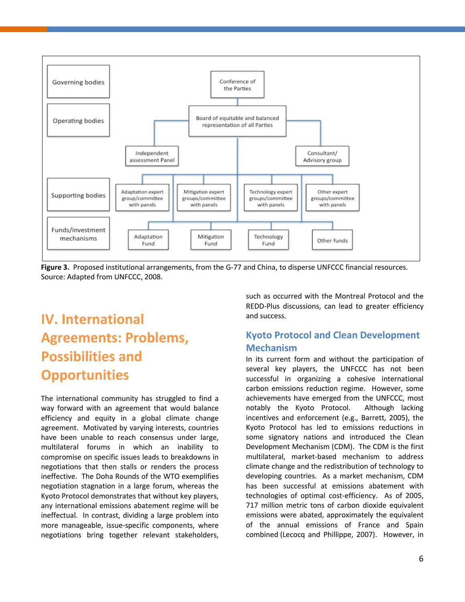

**Figure 3.** Proposed institutional arrangements, from the G-77 and China, to disperse UNFCCC financial resources. Source: Adapted from UNFCCC, 2008.

## <span id="page-13-0"></span>**IV. International Agreements: Problems, Possibilities and Opportunities**

The international community has struggled to find a way forward with an agreement that would balance efficiency and equity in a global climate change agreement. Motivated by varying interests, countries have been unable to reach consensus under large, multilateral forums in which an inability to compromise on specific issues leads to breakdowns in negotiations that then stalls or renders the process ineffective. The Doha Rounds of the WTO exemplifies negotiation stagnation in a large forum, whereas the Kyoto Protocol demonstrates that without key players, any international emissions abatement regime will be ineffectual. In contrast, dividing a large problem into more manageable, issue-specific components, where negotiations bring together relevant stakeholders, such as occurred with the Montreal Protocol and the REDD-Plus discussions, can lead to greater efficiency and success.

### <span id="page-13-1"></span>**Kyoto Protocol and Clean Development Mechanism**

In its current form and without the participation of several key players, the UNFCCC has not been successful in organizing a cohesive international carbon emissions reduction regime. However, some achievements have emerged from the UNFCCC, most notably the Kyoto Protocol. Although lacking incentives and enforcement (e.g., Barrett, 2005), the Kyoto Protocol has led to emissions reductions in some signatory nations and introduced the Clean Development Mechanism (CDM). The CDM is the first multilateral, market-based mechanism to address climate change and the redistribution of technology to developing countries. As a market mechanism, CDM has been successful at emissions abatement with technologies of optimal cost-efficiency. As of 2005, 717 million metric tons of carbon dioxide equivalent emissions were abated, approximately the equivalent of the annual emissions of France and Spain combined (Lecocq and Phillippe, 2007). However, in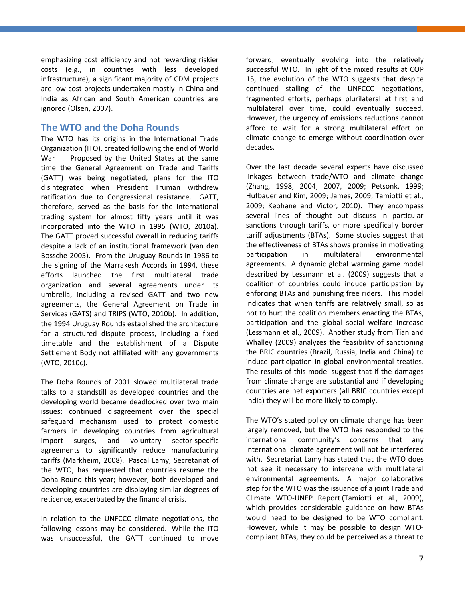emphasizing cost efficiency and not rewarding riskier costs (e.g., in countries with less developed infrastructure), a significant majority of CDM projects are low-cost projects undertaken mostly in China and India as African and South American countries are ignored (Olsen, 2007).

#### <span id="page-14-0"></span>**The WTO and the Doha Rounds**

The WTO has its origins in the International Trade Organization (ITO), created following the end of World War II. Proposed by the United States at the same time the General Agreement on Trade and Tariffs (GATT) was being negotiated, plans for the ITO disintegrated when President Truman withdrew ratification due to Congressional resistance. GATT, therefore, served as the basis for the international trading system for almost fifty years until it was incorporated into the WTO in 1995 (WTO, 2010a). The GATT proved successful overall in reducing tariffs despite a lack of an institutional framework (van den Bossche 2005). From the Uruguay Rounds in 1986 to the signing of the Marrakesh Accords in 1994, these efforts launched the first multilateral trade organization and several agreements under its umbrella, including a revised GATT and two new agreements, the General Agreement on Trade in Services (GATS) and TRIPS (WTO, 2010b). In addition, the 1994 Uruguay Rounds established the architecture for a structured dispute process, including a fixed timetable and the establishment of a Dispute Settlement Body not affiliated with any governments (WTO, 2010c).

The Doha Rounds of 2001 slowed multilateral trade talks to a standstill as developed countries and the developing world became deadlocked over two main issues: continued disagreement over the special safeguard mechanism used to protect domestic farmers in developing countries from agricultural import surges, and voluntary sector-specific agreements to significantly reduce manufacturing tariffs (Markheim, 2008). Pascal Lamy, Secretariat of the WTO, has requested that countries resume the Doha Round this year; however, both developed and developing countries are displaying similar degrees of reticence, exacerbated by the financial crisis.

In relation to the UNFCCC climate negotiations, the following lessons may be considered. While the ITO was unsuccessful, the GATT continued to move forward, eventually evolving into the relatively successful WTO. In light of the mixed results at COP 15, the evolution of the WTO suggests that despite continued stalling of the UNFCCC negotiations, fragmented efforts, perhaps plurilateral at first and multilateral over time, could eventually succeed. However, the urgency of emissions reductions cannot afford to wait for a strong multilateral effort on climate change to emerge without coordination over decades.

Over the last decade several experts have discussed linkages between trade/WTO and climate change (Zhang, 1998, 2004, 2007, 2009; Petsonk, 1999; Hufbauer and Kim, 2009; James, 2009; Tamiotti et al., 2009; Keohane and Victor, 2010). They encompass several lines of thought but discuss in particular sanctions through tariffs, or more specifically border tariff adjustments (BTAs). Some studies suggest that the effectiveness of BTAs shows promise in motivating participation in multilateral environmental agreements. A dynamic global warming game model described by Lessmann et al. (2009) suggests that a coalition of countries could induce participation by enforcing BTAs and punishing free riders. This model indicates that when tariffs are relatively small, so as not to hurt the coalition members enacting the BTAs, participation and the global social welfare increase (Lessmann et al., 2009). Another study from Tian and Whalley (2009) analyzes the feasibility of sanctioning the BRIC countries (Brazil, Russia, India and China) to induce participation in global environmental treaties. The results of this model suggest that if the damages from climate change are substantial and if developing countries are net exporters (all BRIC countries except India) they will be more likely to comply.

The WTO's stated policy on climate change has been largely removed, but the WTO has responded to the international community's concerns that any international climate agreement will not be interfered with. Secretariat Lamy has stated that the WTO does not see it necessary to intervene with multilateral environmental agreements. A major collaborative step for the WTO was the issuance of a joint Trade and Climate WTO-UNEP Report (Tamiotti et al., 2009), which provides considerable guidance on how BTAs would need to be designed to be WTO compliant. However, while it may be possible to design WTOcompliant BTAs, they could be perceived as a threat to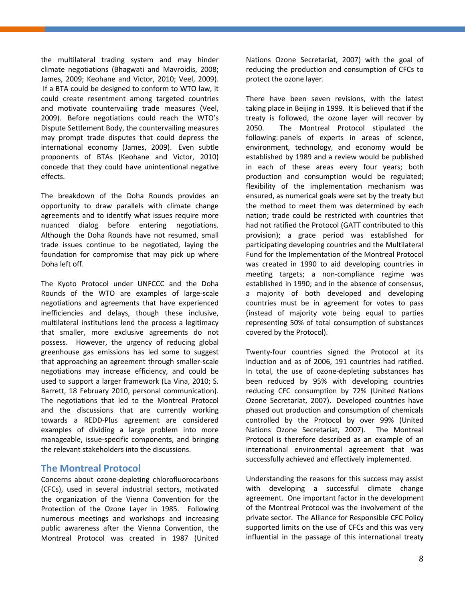the multilateral trading system and may hinder climate negotiations (Bhagwati and Mavroidis, 2008; James, 2009; Keohane and Victor, 2010; Veel, 2009). If a BTA could be designed to conform to WTO law, it could create resentment among targeted countries and motivate countervailing trade measures (Veel, 2009). Before negotiations could reach the WTO's Dispute Settlement Body, the countervailing measures may prompt trade disputes that could depress the international economy (James, 2009). Even subtle proponents of BTAs (Keohane and Victor, 2010) concede that they could have unintentional negative effects.

The breakdown of the Doha Rounds provides an opportunity to draw parallels with climate change agreements and to identify what issues require more nuanced dialog before entering negotiations. Although the Doha Rounds have not resumed, small trade issues continue to be negotiated, laying the foundation for compromise that may pick up where Doha left off.

The Kyoto Protocol under UNFCCC and the Doha Rounds of the WTO are examples of large-scale negotiations and agreements that have experienced inefficiencies and delays, though these inclusive, multilateral institutions lend the process a legitimacy that smaller, more exclusive agreements do not possess. However, the urgency of reducing global greenhouse gas emissions has led some to suggest that approaching an agreement through smaller-scale negotiations may increase efficiency, and could be used to support a larger framework (La Vina, 2010; S. Barrett, 18 February 2010, personal communication). The negotiations that led to the Montreal Protocol and the discussions that are currently working towards a REDD-Plus agreement are considered examples of dividing a large problem into more manageable, issue-specific components, and bringing the relevant stakeholders into the discussions.

#### <span id="page-15-0"></span>**The Montreal Protocol**

Concerns about ozone-depleting chlorofluorocarbons (CFCs), used in several industrial sectors, motivated the organization of the Vienna Convention for the Protection of the Ozone Layer in 1985. Following numerous meetings and workshops and increasing public awareness after the Vienna Convention, the Montreal Protocol was created in 1987 (United

Nations Ozone Secretariat, 2007) with the goal of reducing the production and consumption of CFCs to protect the ozone layer.

There have been seven revisions, with the latest taking place in Beijing in 1999. It is believed that if the treaty is followed, the ozone layer will recover by 2050. The Montreal Protocol stipulated the following: panels of experts in areas of science, environment, technology, and economy would be established by 1989 and a review would be published in each of these areas every four years; both production and consumption would be regulated; flexibility of the implementation mechanism was ensured, as numerical goals were set by the treaty but the method to meet them was determined by each nation; trade could be restricted with countries that had not ratified the Protocol (GATT contributed to this provision); a grace period was established for participating developing countries and the Multilateral Fund for the Implementation of the Montreal Protocol was created in 1990 to aid developing countries in meeting targets; a non-compliance regime was established in 1990; and in the absence of consensus, a majority of both developed and developing countries must be in agreement for votes to pass (instead of majority vote being equal to parties representing 50% of total consumption of substances covered by the Protocol).

Twenty-four countries signed the Protocol at its induction and as of 2006, 191 countries had ratified. In total, the use of ozone-depleting substances has been reduced by 95% with developing countries reducing CFC consumption by 72% (United Nations Ozone Secretariat, 2007). Developed countries have phased out production and consumption of chemicals controlled by the Protocol by over 99% (United Nations Ozone Secretariat, 2007). The Montreal Protocol is therefore described as an example of an international environmental agreement that was successfully achieved and effectively implemented.

Understanding the reasons for this success may assist with developing a successful climate change agreement. One important factor in the development of the Montreal Protocol was the involvement of the private sector. The Alliance for Responsible CFC Policy supported limits on the use of CFCs and this was very influential in the passage of this international treaty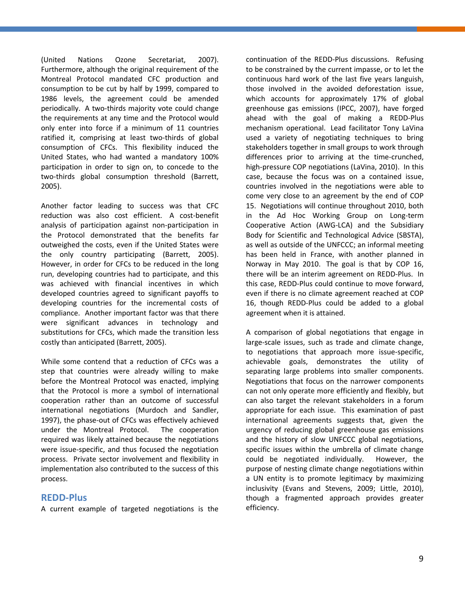(United Nations Ozone Secretariat, 2007). Furthermore, although the original requirement of the Montreal Protocol mandated CFC production and consumption to be cut by half by 1999, compared to 1986 levels, the agreement could be amended periodically. A two-thirds majority vote could change the requirements at any time and the Protocol would only enter into force if a minimum of 11 countries ratified it, comprising at least two-thirds of global consumption of CFCs. This flexibility induced the United States, who had wanted a mandatory 100% participation in order to sign on, to concede to the two-thirds global consumption threshold (Barrett, 2005).

Another factor leading to success was that CFC reduction was also cost efficient. A cost-benefit analysis of participation against non-participation in the Protocol demonstrated that the benefits far outweighed the costs, even if the United States were the only country participating (Barrett, 2005). However, in order for CFCs to be reduced in the long run, developing countries had to participate, and this was achieved with financial incentives in which developed countries agreed to significant payoffs to developing countries for the incremental costs of compliance. Another important factor was that there were significant advances in technology and substitutions for CFCs, which made the transition less costly than anticipated (Barrett, 2005).

While some contend that a reduction of CFCs was a step that countries were already willing to make before the Montreal Protocol was enacted, implying that the Protocol is more a symbol of international cooperation rather than an outcome of successful international negotiations (Murdoch and Sandler, 1997), the phase-out of CFCs was effectively achieved under the Montreal Protocol. The cooperation required was likely attained because the negotiations were issue-specific, and thus focused the negotiation process. Private sector involvement and flexibility in implementation also contributed to the success of this process.

#### <span id="page-16-0"></span>**REDD-Plus**

A current example of targeted negotiations is the

continuation of the REDD-Plus discussions. Refusing to be constrained by the current impasse, or to let the continuous hard work of the last five years languish, those involved in the avoided deforestation issue, which accounts for approximately 17% of global greenhouse gas emissions (IPCC, 2007), have forged ahead with the goal of making a REDD-Plus mechanism operational. Lead facilitator Tony LaVina used a variety of negotiating techniques to bring stakeholders together in small groups to work through differences prior to arriving at the time-crunched, high-pressure COP negotiations (LaVina, 2010). In this case, because the focus was on a contained issue, countries involved in the negotiations were able to come very close to an agreement by the end of COP 15. Negotiations will continue throughout 2010, both in the Ad Hoc Working Group on Long-term Cooperative Action (AWG-LCA) and the Subsidiary Body for Scientific and Technological Advice (SBSTA), as well as outside of the UNFCCC; an informal meeting has been held in France, with another planned in Norway in May 2010. The goal is that by COP 16, there will be an interim agreement on REDD-Plus. In this case, REDD-Plus could continue to move forward, even if there is no climate agreement reached at COP 16, though REDD-Plus could be added to a global agreement when it is attained.

A comparison of global negotiations that engage in large-scale issues, such as trade and climate change, to negotiations that approach more issue-specific, achievable goals, demonstrates the utility of separating large problems into smaller components. Negotiations that focus on the narrower components can not only operate more efficiently and flexibly, but can also target the relevant stakeholders in a forum appropriate for each issue. This examination of past international agreements suggests that, given the urgency of reducing global greenhouse gas emissions and the history of slow UNFCCC global negotiations, specific issues within the umbrella of climate change could be negotiated individually. However, the purpose of nesting climate change negotiations within a UN entity is to promote legitimacy by maximizing inclusivity (Evans and Stevens, 2009; Little, 2010), though a fragmented approach provides greater efficiency.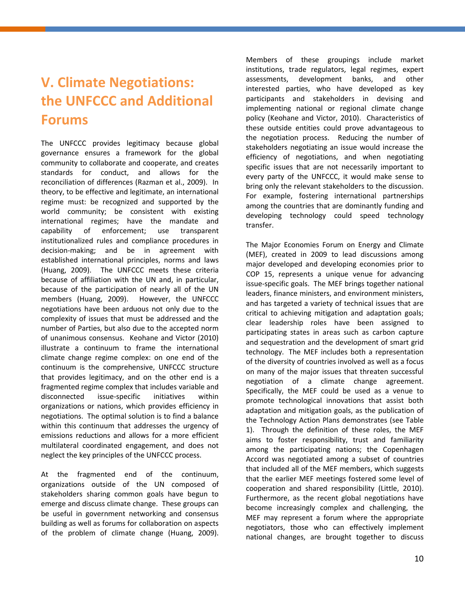## <span id="page-17-0"></span>**V. Climate Negotiations: the UNFCCC and Additional Forums**

The UNFCCC provides legitimacy because global governance ensures a framework for the global community to collaborate and cooperate, and creates standards for conduct, and allows for the reconciliation of differences (Razman et al., 2009). In theory, to be effective and legitimate, an international regime must: be recognized and supported by the world community; be consistent with existing international regimes; have the mandate and capability of enforcement; use transparent institutionalized rules and compliance procedures in decision-making; and be in agreement with established international principles, norms and laws (Huang, 2009). The UNFCCC meets these criteria because of affiliation with the UN and, in particular, because of the participation of nearly all of the UN members (Huang, 2009). However, the UNFCCC negotiations have been arduous not only due to the complexity of issues that must be addressed and the number of Parties, but also due to the accepted norm of unanimous consensus. Keohane and Victor (2010) illustrate a continuum to frame the international climate change regime complex: on one end of the continuum is the comprehensive, UNFCCC structure that provides legitimacy, and on the other end is a fragmented regime complex that includes variable and disconnected issue-specific initiatives within organizations or nations, which provides efficiency in negotiations. The optimal solution is to find a balance within this continuum that addresses the urgency of emissions reductions and allows for a more efficient multilateral coordinated engagement, and does not neglect the key principles of the UNFCCC process.

At the fragmented end of the continuum, organizations outside of the UN composed of stakeholders sharing common goals have begun to emerge and discuss climate change. These groups can be useful in government networking and consensus building as well as forums for collaboration on aspects of the problem of climate change (Huang, 2009).

Members of these groupings include market institutions, trade regulators, legal regimes, expert assessments, development banks, and other interested parties, who have developed as key participants and stakeholders in devising and implementing national or regional climate change policy (Keohane and Victor, 2010). Characteristics of these outside entities could prove advantageous to the negotiation process. Reducing the number of stakeholders negotiating an issue would increase the efficiency of negotiations, and when negotiating specific issues that are not necessarily important to every party of the UNFCCC, it would make sense to bring only the relevant stakeholders to the discussion. For example, fostering international partnerships among the countries that are dominantly funding and developing technology could speed technology transfer.

The Major Economies Forum on Energy and Climate (MEF), created in 2009 to lead discussions among major developed and developing economies prior to COP 15, represents a unique venue for advancing issue-specific goals. The MEF brings together national leaders, finance ministers, and environment ministers, and has targeted a variety of technical issues that are critical to achieving mitigation and adaptation goals; clear leadership roles have been assigned to participating states in areas such as carbon capture and sequestration and the development of smart grid technology. The MEF includes both a representation of the diversity of countries involved as well as a focus on many of the major issues that threaten successful negotiation of a climate change agreement. Specifically, the MEF could be used as a venue to promote technological innovations that assist both adaptation and mitigation goals, as the publication of the Technology Action Plans demonstrates (see Table 1). Through the definition of these roles, the MEF aims to foster responsibility, trust and familiarity among the participating nations; the Copenhagen Accord was negotiated among a subset of countries that included all of the MEF members, which suggests that the earlier MEF meetings fostered some level of cooperation and shared responsibility (Little, 2010). Furthermore, as the recent global negotiations have become increasingly complex and challenging, the MEF may represent a forum where the appropriate negotiators, those who can effectively implement national changes, are brought together to discuss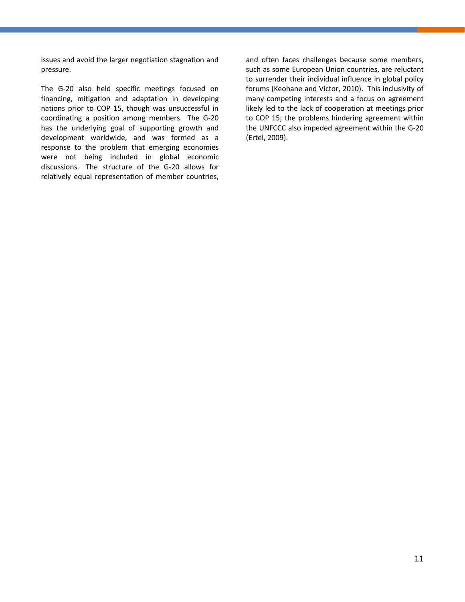issues and avoid the larger negotiation stagnation and pressure.

The G-20 also held specific meetings focused on financing, mitigation and adaptation in developing nations prior to COP 15, though was unsuccessful in coordinating a position among members. The G-20 has the underlying goal of supporting growth and development worldwide, and was formed as a response to the problem that emerging economies were not being included in global economic discussions. The structure of the G-20 allows for relatively equal representation of member countries,

and often faces challenges because some members, such as some European Union countries, are reluctant to surrender their individual influence in global policy forums (Keohane and Victor, 2010). This inclusivity of many competing interests and a focus on agreement likely led to the lack of cooperation at meetings prior to COP 15; the problems hindering agreement within the UNFCCC also impeded agreement within the G-20 (Ertel, 2009).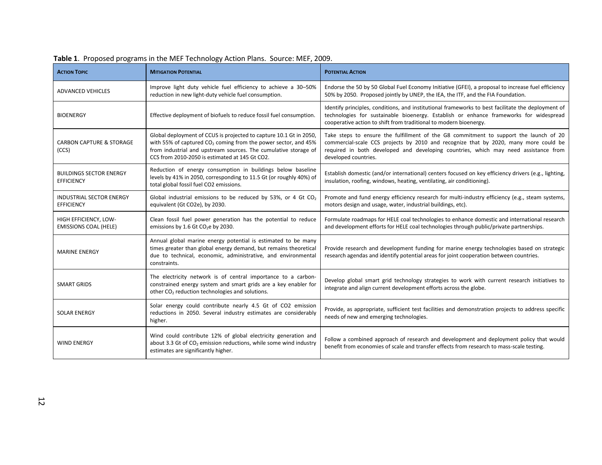| <b>ACTION TOPIC</b>                                   | <b>MITIGATION POTENTIAL</b>                                                                                                                                                                                                                                 | <b>POTENTIAL ACTION</b>                                                                                                                                                                                                                                                                      |
|-------------------------------------------------------|-------------------------------------------------------------------------------------------------------------------------------------------------------------------------------------------------------------------------------------------------------------|----------------------------------------------------------------------------------------------------------------------------------------------------------------------------------------------------------------------------------------------------------------------------------------------|
| <b>ADVANCED VEHICLES</b>                              | Improve light duty vehicle fuel efficiency to achieve a 30-50%<br>reduction in new light-duty vehicle fuel consumption.                                                                                                                                     | Endorse the 50 by 50 Global Fuel Economy Initiative (GFEI), a proposal to increase fuel efficiency<br>50% by 2050. Proposed jointly by UNEP, the IEA, the ITF, and the FIA Foundation.                                                                                                       |
| <b>BIOENERGY</b>                                      | Effective deployment of biofuels to reduce fossil fuel consumption.                                                                                                                                                                                         | Identify principles, conditions, and institutional frameworks to best facilitate the deployment of<br>technologies for sustainable bioenergy. Establish or enhance frameworks for widespread<br>cooperative action to shift from traditional to modern bioenergy.                            |
| <b>CARBON CAPTURE &amp; STORAGE</b><br>(CCS)          | Global deployment of CCUS is projected to capture 10.1 Gt in 2050,<br>with 55% of captured $CO2$ coming from the power sector, and 45%<br>from industrial and upstream sources. The cumulative storage of<br>CCS from 2010-2050 is estimated at 145 Gt CO2. | Take steps to ensure the fulfillment of the G8 commitment to support the launch of 20<br>commercial-scale CCS projects by 2010 and recognize that by 2020, many more could be<br>required in both developed and developing countries, which may need assistance from<br>developed countries. |
| <b>BUILDINGS SECTOR ENERGY</b><br><b>EFFICIENCY</b>   | Reduction of energy consumption in buildings below baseline<br>levels by 41% in 2050, corresponding to 11.5 Gt (or roughly 40%) of<br>total global fossil fuel CO2 emissions.                                                                               | Establish domestic (and/or international) centers focused on key efficiency drivers (e.g., lighting,<br>insulation, roofing, windows, heating, ventilating, air conditioning).                                                                                                               |
| <b>INDUSTRIAL SECTOR ENERGY</b><br><b>EFFICIENCY</b>  | Global industrial emissions to be reduced by 53%, or 4 Gt $CO2$<br>equivalent (Gt CO2e), by 2030.                                                                                                                                                           | Promote and fund energy efficiency research for multi-industry efficiency (e.g., steam systems,<br>motors design and usage, water, industrial buildings, etc).                                                                                                                               |
| HIGH EFFICIENCY, LOW-<br><b>EMISSIONS COAL (HELE)</b> | Clean fossil fuel power generation has the potential to reduce<br>emissions by 1.6 Gt CO <sub>2</sub> e by 2030.                                                                                                                                            | Formulate roadmaps for HELE coal technologies to enhance domestic and international research<br>and development efforts for HELE coal technologies through public/private partnerships.                                                                                                      |
| <b>MARINE ENERGY</b>                                  | Annual global marine energy potential is estimated to be many<br>times greater than global energy demand, but remains theoretical<br>due to technical, economic, administrative, and environmental<br>constraints.                                          | Provide research and development funding for marine energy technologies based on strategic<br>research agendas and identify potential areas for joint cooperation between countries.                                                                                                         |
| <b>SMART GRIDS</b>                                    | The electricity network is of central importance to a carbon-<br>constrained energy system and smart grids are a key enabler for<br>other CO <sub>2</sub> reduction technologies and solutions.                                                             | Develop global smart grid technology strategies to work with current research initiatives to<br>integrate and align current development efforts across the globe.                                                                                                                            |
| <b>SOLAR ENERGY</b>                                   | Solar energy could contribute nearly 4.5 Gt of CO2 emission<br>reductions in 2050. Several industry estimates are considerably<br>higher.                                                                                                                   | Provide, as appropriate, sufficient test facilities and demonstration projects to address specific<br>needs of new and emerging technologies.                                                                                                                                                |
| <b>WIND ENERGY</b>                                    | Wind could contribute 12% of global electricity generation and<br>about 3.3 Gt of CO <sub>2</sub> emission reductions, while some wind industry<br>estimates are significantly higher.                                                                      | Follow a combined approach of research and development and deployment policy that would<br>benefit from economies of scale and transfer effects from research to mass-scale testing.                                                                                                         |

### **Table 1**. Proposed programs in the MEF Technology Action Plans. Source: MEF, 2009.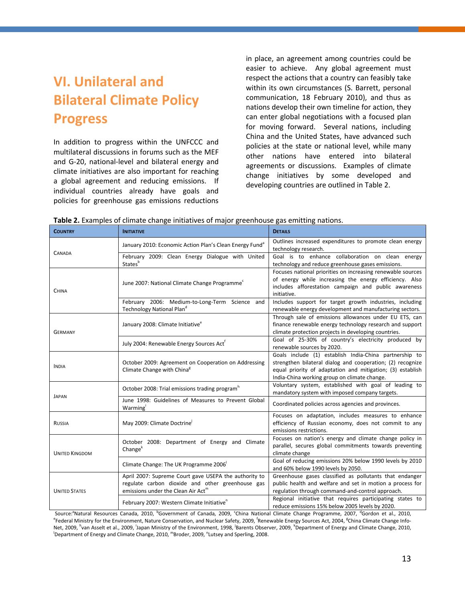## <span id="page-20-0"></span>**VI. Unilateral and Bilateral Climate Policy Progress**

In addition to progress within the UNFCCC and multilateral discussions in forums such as the MEF and G-20, national-level and bilateral energy and climate initiatives are also important for reaching a global agreement and reducing emissions. If individual countries already have goals and policies for greenhouse gas emissions reductions in place, an agreement among countries could be easier to achieve. Any global agreement must respect the actions that a country can feasibly take within its own circumstances (S. Barrett, personal communication, 18 February 2010), and thus as nations develop their own timeline for action, they can enter global negotiations with a focused plan for moving forward. Several nations, including China and the United States, have advanced such policies at the state or national level, while many other nations have entered into bilateral agreements or discussions. Examples of climate change initiatives by some developed and developing countries are outlined in Table 2.

|  | Table 2. Examples of climate change initiatives of major greenhouse gas emitting nations. |  |  |
|--|-------------------------------------------------------------------------------------------|--|--|
|--|-------------------------------------------------------------------------------------------|--|--|

| <b>COUNTRY</b>        | <b>INITIATIVE</b>                                                                                                                                           | <b>DETAILS</b>                                                                                                                                                                                                                     |  |  |
|-----------------------|-------------------------------------------------------------------------------------------------------------------------------------------------------------|------------------------------------------------------------------------------------------------------------------------------------------------------------------------------------------------------------------------------------|--|--|
| <b>CANADA</b>         | January 2010: Economic Action Plan's Clean Energy Fund <sup>a</sup>                                                                                         | Outlines increased expenditures to promote clean energy<br>technology research.                                                                                                                                                    |  |  |
|                       | February 2009: Clean Energy Dialogue with United<br>States <sup>t</sup>                                                                                     | Goal is to enhance collaboration on clean energy<br>technology and reduce greenhouse gases emissions.                                                                                                                              |  |  |
| <b>CHINA</b>          | June 2007: National Climate Change Programme <sup>c</sup>                                                                                                   | Focuses national priorities on increasing renewable sources<br>of energy while increasing the energy efficiency. Also<br>includes afforestation campaign and public awareness<br>initiative.                                       |  |  |
|                       | February 2006: Medium-to-Long-Term Science<br>and<br>Technology National Pland                                                                              | Includes support for target growth industries, including<br>renewable energy development and manufacturing sectors.                                                                                                                |  |  |
| <b>GERMANY</b>        | January 2008: Climate Initiative <sup>e</sup>                                                                                                               | Through sale of emissions allowances under EU ETS, can<br>finance renewable energy technology research and support<br>climate protection projects in developing countries.                                                         |  |  |
|                       | July 2004: Renewable Energy Sources Act <sup>t</sup>                                                                                                        | Goal of 25-30% of country's electricity produced by<br>renewable sources by 2020.                                                                                                                                                  |  |  |
| <b>INDIA</b>          | October 2009: Agreement on Cooperation on Addressing<br>Climate Change with China <sup>8</sup>                                                              | Goals include (1) establish India-China partnership to<br>strengthen bilateral dialog and cooperation; (2) recognize<br>equal priority of adaptation and mitigation; (3) establish<br>India-China working group on climate change. |  |  |
|                       | October 2008: Trial emissions trading program <sup>h</sup>                                                                                                  | Voluntary system, established with goal of leading to<br>mandatory system with imposed company targets.                                                                                                                            |  |  |
| <b>JAPAN</b>          | June 1998: Guidelines of Measures to Prevent Global<br>Warming <sup>'</sup>                                                                                 | Coordinated policies across agencies and provinces.                                                                                                                                                                                |  |  |
| RUSSIA                | May 2009: Climate Doctrine                                                                                                                                  | Focuses on adaptation, includes measures to enhance<br>efficiency of Russian economy, does not commit to any<br>emissions restrictions.                                                                                            |  |  |
| <b>UNITED KINGDOM</b> | October 2008: Department of Energy and Climate<br>Change <sup>k</sup>                                                                                       | Focuses on nation's energy and climate change policy in<br>parallel, secures global commitments towards preventing<br>climate change                                                                                               |  |  |
|                       | Climate Change: The UK Programme 2006                                                                                                                       | Goal of reducing emissions 20% below 1990 levels by 2010<br>and 60% below 1990 levels by 2050.                                                                                                                                     |  |  |
| <b>UNITED STATES</b>  | April 2007: Supreme Court gave USEPA the authority to<br>regulate carbon dioxide and other greenhouse gas<br>emissions under the Clean Air Act <sup>m</sup> | Greenhouse gases classified as pollutants that endanger<br>public health and welfare and set in motion a process for<br>regulation through command-and-control approach.                                                           |  |  |
|                       | February 2007: Western Climate Initiative"                                                                                                                  | Regional initiative that requires participating states to<br>reduce emissions 15% below 2005 levels by 2020.                                                                                                                       |  |  |

Source:<sup>a</sup>Natural Resources Canada, 2010, <sup>b</sup>Government of Canada, 2009, <sup>c</sup>China National Climate Change Programme, 2007, <sup>d</sup>Gordon et al., 2010, Federal Ministry for the Environment, Nature Conservation, and Nuclear Safety, 2009, <sup>f</sup>Renewable Energy Sources Act, 2004, <sup>g</sup>China Climate Change Info-Net, 2009, <sup>h</sup>van Asselt et al., 2009, <sup>i</sup>Japan Ministry of the Environment, 1998, <sup>j</sup>Barents Observer, 2009, <sup>k</sup>Department of Energy and Climate Change, 2010,<br>IDepartment of Energy and Climate Change, 2010, <sup>m</sup>Brodes, 200 Department of Energy and Climate Change, 2010, "Broder, 2009, "Lutsey and Sperling, 2008.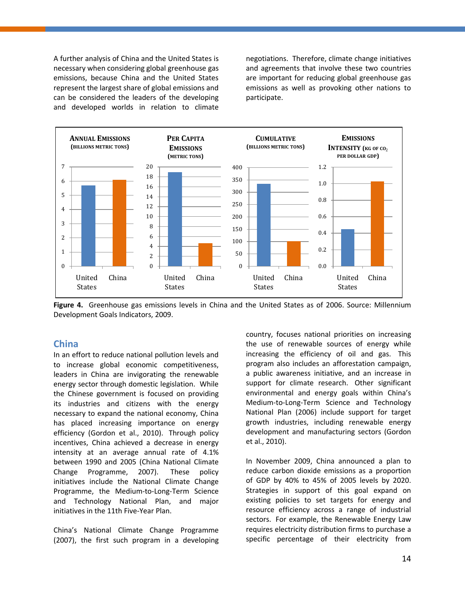A further analysis of China and the United States is necessary when considering global greenhouse gas emissions, because China and the United States represent the largest share of global emissions and can be considered the leaders of the developing and developed worlds in relation to climate negotiations. Therefore, climate change initiatives and agreements that involve these two countries are important for reducing global greenhouse gas emissions as well as provoking other nations to participate.



**Figure 4.** Greenhouse gas emissions levels in China and the United States as of 2006. Source: Millennium Development Goals Indicators, 2009.

#### <span id="page-21-0"></span>**China**

In an effort to reduce national pollution levels and to increase global economic competitiveness, leaders in China are invigorating the renewable energy sector through domestic legislation. While the Chinese government is focused on providing its industries and citizens with the energy necessary to expand the national economy, China has placed increasing importance on energy efficiency (Gordon et al., 2010). Through policy incentives, China achieved a decrease in energy intensity at an average annual rate of 4.1% between 1990 and 2005 (China National Climate Change Programme, 2007). These policy initiatives include the National Climate Change Programme, the Medium-to-Long-Term Science and Technology National Plan, and major initiatives in the 11th Five-Year Plan.

China's National Climate Change Programme (2007), the first such program in a developing country, focuses national priorities on increasing the use of renewable sources of energy while increasing the efficiency of oil and gas. This program also includes an afforestation campaign, a public awareness initiative, and an increase in support for climate research. Other significant environmental and energy goals within China's Medium-to-Long-Term Science and Technology National Plan (2006) include support for target growth industries, including renewable energy development and manufacturing sectors (Gordon et al., 2010).

In November 2009, China announced a plan to reduce carbon dioxide emissions as a proportion of GDP by 40% to 45% of 2005 levels by 2020. Strategies in support of this goal expand on existing policies to set targets for energy and resource efficiency across a range of industrial sectors. For example, the Renewable Energy Law requires electricity distribution firms to purchase a specific percentage of their electricity from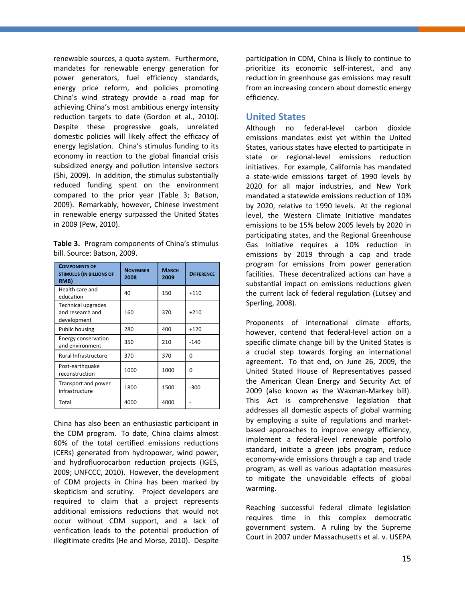renewable sources, a quota system. Furthermore, mandates for renewable energy generation for power generators, fuel efficiency standards, energy price reform, and policies promoting China's wind strategy provide a road map for achieving China's most ambitious energy intensity reduction targets to date (Gordon et al., 2010). Despite these progressive goals, unrelated domestic policies will likely affect the efficacy of energy legislation. China's stimulus funding to its economy in reaction to the global financial crisis subsidized energy and pollution intensive sectors (Shi, 2009). In addition, the stimulus substantially reduced funding spent on the environment compared to the prior year (Table 3; Batson, 2009). Remarkably, however, Chinese investment in renewable energy surpassed the United States in 2009 (Pew, 2010).

**Table 3.** Program components of China's stimulus bill. Source: Batson, 2009.

| <b>COMPONENTS OF</b><br><b>STIMULUS (IN BILLIONS OF</b><br>RMB) | <b>NOVEMBER</b><br>2008 | <b>MARCH</b><br>2009 | <b>DIFFERENCE</b> |
|-----------------------------------------------------------------|-------------------------|----------------------|-------------------|
| Health care and<br>education                                    | 40                      | 150                  | $+110$            |
| <b>Technical upgrades</b><br>and research and<br>development    | 160                     | 370                  | $+210$            |
| Public housing                                                  | 280                     | 400                  | $+120$            |
| Energy conservation<br>and environment                          | 350                     | 210                  | $-140$            |
| Rural Infrastructure                                            | 370                     | 370                  | O                 |
| Post-earthquake<br>reconstruction                               | 1000                    | 1000                 | O                 |
| Transport and power<br>infrastructure                           | 1800                    | 1500                 | $-300$            |
| Total                                                           | 4000                    | 4000                 |                   |

China has also been an enthusiastic participant in the CDM program. To date, China claims almost 60% of the total certified emissions reductions (CERs) generated from hydropower, wind power, and hydrofluorocarbon reduction projects (IGES, 2009; UNFCCC, 2010). However, the development of CDM projects in China has been marked by skepticism and scrutiny. Project developers are required to claim that a project represents additional emissions reductions that would not occur without CDM support, and a lack of verification leads to the potential production of illegitimate credits (He and Morse, 2010). Despite

participation in CDM, China is likely to continue to prioritize its economic self-interest, and any reduction in greenhouse gas emissions may result from an increasing concern about domestic energy efficiency.

#### <span id="page-22-0"></span>**United States**

Although no federal-level carbon dioxide emissions mandates exist yet within the United States, various states have elected to participate in state or regional-level emissions reduction initiatives. For example, California has mandated a state-wide emissions target of 1990 levels by 2020 for all major industries, and New York mandated a statewide emissions reduction of 10% by 2020, relative to 1990 levels. At the regional level, the Western Climate Initiative mandates emissions to be 15% below 2005 levels by 2020 in participating states, and the Regional Greenhouse Gas Initiative requires a 10% reduction in emissions by 2019 through a cap and trade program for emissions from power generation facilities. These decentralized actions can have a substantial impact on emissions reductions given the current lack of federal regulation (Lutsey and Sperling, 2008).

Proponents of international climate efforts, however, contend that federal-level action on a specific climate change bill by the United States is a crucial step towards forging an international agreement. To that end, on June 26, 2009, the United Stated House of Representatives passed the American Clean Energy and Security Act of 2009 (also known as the Waxman-Markey bill). This Act is comprehensive legislation that addresses all domestic aspects of global warming by employing a suite of regulations and marketbased approaches to improve energy efficiency, implement a federal-level renewable portfolio standard, initiate a green jobs program, reduce economy-wide emissions through a cap and trade program, as well as various adaptation measures to mitigate the unavoidable effects of global warming.

Reaching successful federal climate legislation requires time in this complex democratic government system. A ruling by the Supreme Court in 2007 under Massachusetts et al. v. USEPA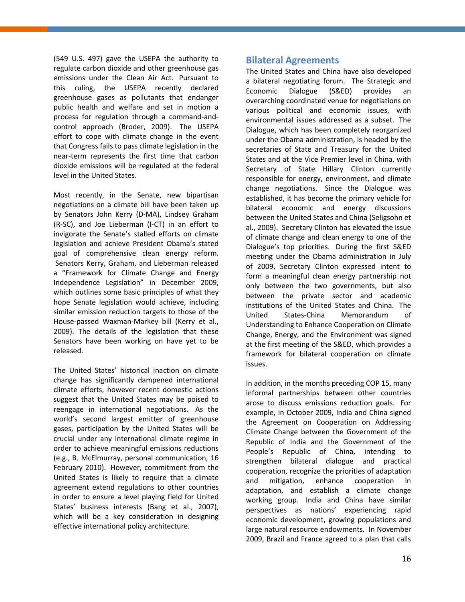(549 U.S. 497) gave the USEPA the authority to regulate carbon dioxide and other greenhouse gas emissions under the Clean Air Act. Pursuant to this ruling, the USEPA recently declared greenhouse gases as pollutants that endanger public health and welfare and set in motion a process for regulation through a command-andcontrol approach (Broder, 2009). The USEPA effort to cope with climate change in the event that Congress fails to pass climate legislation in the near-term represents the first time that carbon dioxide emissions will be regulated at the federal level in the United States.

Most recently, in the Senate, new bipartisan negotiations on a climate bill have been taken up by Senators John Kerry (D-MA), Lindsey Graham (R-SC), and Joe Lieberman (I-CT) in an effort to invigorate the Senate's stalled efforts on climate legislation and achieve President Obama's stated goal of comprehensive clean energy reform. Senators Kerry, Graham, and Lieberman released a "Framework for Climate Change and Energy Independence Legislation" in December 2009, which outlines some basic principles of what they hope Senate legislation would achieve, including similar emission reduction targets to those of the House-passed Waxman-Markey bill (Kerry et al., 2009). The details of the legislation that these Senators have been working on have yet to be released.

The United States' historical inaction on climate change has significantly dampened international climate efforts, however recent domestic actions suggest that the United States may be poised to reengage in international negotiations. As the world's second largest emitter of greenhouse gases, participation by the United States will be crucial under any international climate regime in order to achieve meaningful emissions reductions (e.g., B. McElmurray, personal communication, 16 February 2010). However, commitment from the United States is likely to require that a climate agreement extend regulations to other countries in order to ensure a level playing field for United States' business interests (Bang et al., 2007), which will be a key consideration in designing effective international policy architecture.

#### <span id="page-23-0"></span>**Bilateral Agreements**

The United States and China have also developed a bilateral negotiating forum. The Strategic and Economic Dialogue (S&ED) provides an overarching coordinated venue for negotiations on various political and economic issues, with environmental issues addressed as a subset. The Dialogue, which has been completely reorganized under the Obama administration, is headed by the secretaries of State and Treasury for the United States and at the Vice Premier level in China, with Secretary of State Hillary Clinton currently responsible for energy, environment, and climate change negotiations. Since the Dialogue was established, it has become the primary vehicle for bilateral economic and energy discussions between the United States and China (Seligsohn et al., 2009). Secretary Clinton has elevated the issue of climate change and clean energy to one of the Dialogue's top priorities. During the first S&ED meeting under the Obama administration in July of 2009, Secretary Clinton expressed intent to form a meaningful clean energy partnership not only between the two governments, but also between the private sector and academic institutions of the United States and China. The United States-China Memorandum of Understanding to Enhance Cooperation on Climate Change, Energy, and the Environment was signed at the first meeting of the S&ED, which provides a framework for bilateral cooperation on climate issues.

In addition, in the months preceding COP 15, many informal partnerships between other countries arose to discuss emissions reduction goals. For example, in October 2009, India and China signed the Agreement on Cooperation on Addressing Climate Change between the Government of the Republic of India and the Government of the People's Republic of China, intending to strengthen bilateral dialogue and practical cooperation, recognize the priorities of adaptation and mitigation, enhance cooperation in adaptation, and establish a climate change working group. India and China have similar perspectives as nations' experiencing rapid economic development, growing populations and large natural resource endowments. In November 2009, Brazil and France agreed to a plan that calls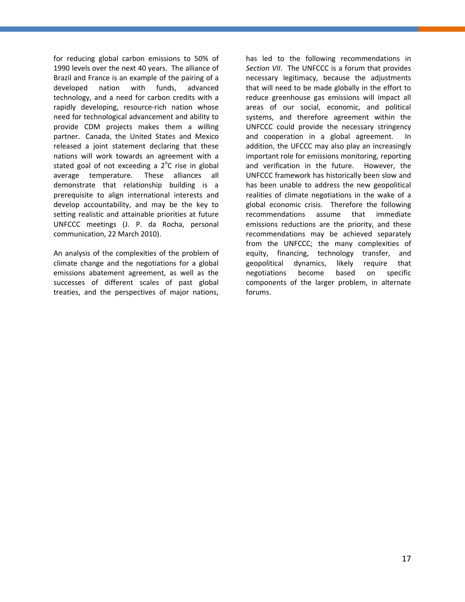for reducing global carbon emissions to 50% of 1990 levels over the next 40 years. The alliance of Brazil and France is an example of the pairing of a developed nation with funds, advanced technology, and a need for carbon credits with a rapidly developing, resource-rich nation whose need for technological advancement and ability to provide CDM projects makes them a willing partner. Canada, the United States and Mexico released a joint statement declaring that these nations will work towards an agreement with a stated goal of not exceeding a  $2^{\circ}$ C rise in global average temperature. These alliances all demonstrate that relationship building is a prerequisite to align international interests and develop accountability, and may be the key to setting realistic and attainable priorities at future UNFCCC meetings (J. P. da Rocha, personal communication, 22 March 2010).

An analysis of the complexities of the problem of climate change and the negotiations for a global emissions abatement agreement, as well as the successes of different scales of past global treaties, and the perspectives of major nations,

has led to the following recommendations in *Section VII*. The UNFCCC is a forum that provides necessary legitimacy, because the adjustments that will need to be made globally in the effort to reduce greenhouse gas emissions will impact all areas of our social, economic, and political systems, and therefore agreement within the UNFCCC could provide the necessary stringency and cooperation in a global agreement. In addition, the UFCCC may also play an increasingly important role for emissions monitoring, reporting and verification in the future. However, the UNFCCC framework has historically been slow and has been unable to address the new geopolitical realities of climate negotiations in the wake of a global economic crisis. Therefore the following recommendations assume that immediate emissions reductions are the priority, and these recommendations may be achieved separately from the UNFCCC; the many complexities of equity, financing, technology transfer, and geopolitical dynamics, likely require that negotiations become based on specific components of the larger problem, in alternate forums.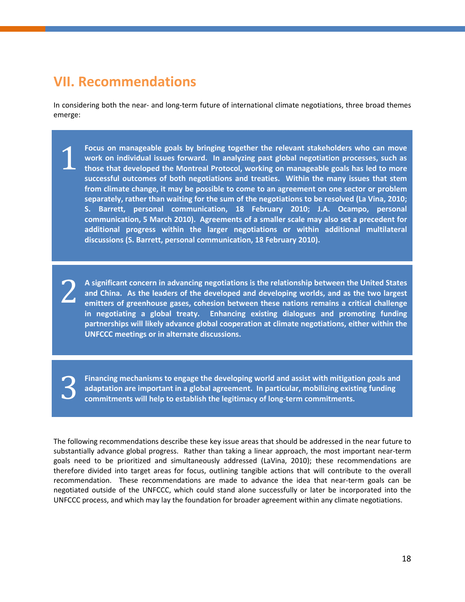## <span id="page-25-0"></span>**VII. Recommendations**

In considering both the near- and long-term future of international climate negotiations, three broad themes emerge:

**Focus on manageable goals by bringing together the relevant stakeholders who can move work on individual issues forward. In analyzing past global negotiation processes, such as those that developed the Montreal Protocol, working on manageable goals has led to more successful outcomes of both negotiations and treaties. Within the many issues that stem from climate change, it may be possible to come to an agreement on one sector or problem separately, rather than waiting for the sum of the negotiations to be resolved (La Vina, 2010; S. Barrett, personal communication, 18 February 2010; J.A. Ocampo, personal communication, 5 March 2010). Agreements of a smaller scale may also set a precedent for additional progress within the larger negotiations or within additional multilateral discussions (S. Barrett, personal communication, 18 February 2010).** 1

**A significant concern in advancing negotiations is the relationship between the United States and China. As the leaders of the developed and developing worlds, and as the two largest emitters of greenhouse gases, cohesion between these nations remains a critical challenge in negotiating a global treaty. Enhancing existing dialogues and promoting funding partnerships will likely advance global cooperation at climate negotiations, either within the UNFCCC meetings or in alternate discussions.** 2

**Financing mechanisms to engage the developing world and assist with mitigation goals and adaptation are important in a global agreement. In particular, mobilizing existing funding commitments will help to establish the legitimacy of long-term commitments.** 3

The following recommendations describe these key issue areas that should be addressed in the near future to substantially advance global progress. Rather than taking a linear approach, the most important near-term goals need to be prioritized and simultaneously addressed (LaVina, 2010); these recommendations are therefore divided into target areas for focus, outlining tangible actions that will contribute to the overall recommendation. These recommendations are made to advance the idea that near-term goals can be negotiated outside of the UNFCCC, which could stand alone successfully or later be incorporated into the UNFCCC process, and which may lay the foundation for broader agreement within any climate negotiations.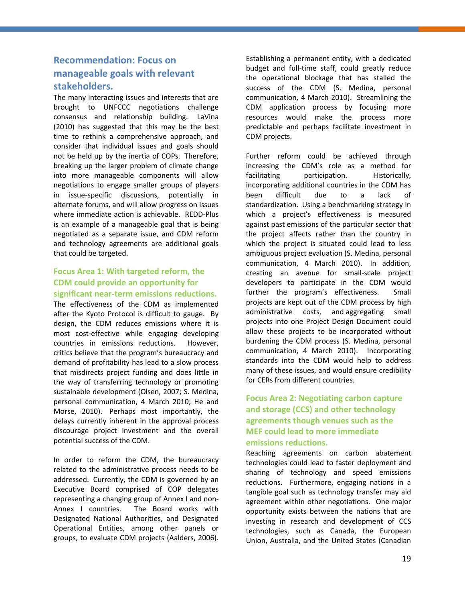### <span id="page-26-0"></span>**Recommendation: Focus on manageable goals with relevant stakeholders.**

The many interacting issues and interests that are brought to UNFCCC negotiations challenge consensus and relationship building. LaVina (2010) has suggested that this may be the best time to rethink a comprehensive approach, and consider that individual issues and goals should not be held up by the inertia of COPs. Therefore, breaking up the larger problem of climate change into more manageable components will allow negotiations to engage smaller groups of players in issue-specific discussions, potentially in alternate forums, and will allow progress on issues where immediate action is achievable. REDD-Plus is an example of a manageable goal that is being negotiated as a separate issue, and CDM reform and technology agreements are additional goals that could be targeted.

### **Focus Area 1: With targeted reform, the CDM could provide an opportunity for significant near-term emissions reductions.**

The effectiveness of the CDM as implemented after the Kyoto Protocol is difficult to gauge. By design, the CDM reduces emissions where it is most cost-effective while engaging developing countries in emissions reductions. However, critics believe that the program's bureaucracy and demand of profitability has lead to a slow process that misdirects project funding and does little in the way of transferring technology or promoting sustainable development (Olsen, 2007; S. Medina, personal communication, 4 March 2010; He and Morse, 2010). Perhaps most importantly, the delays currently inherent in the approval process discourage project investment and the overall potential success of the CDM.

In order to reform the CDM, the bureaucracy related to the administrative process needs to be addressed. Currently, the CDM is governed by an Executive Board comprised of COP delegates representing a changing group of Annex I and non-Annex I countries. The Board works with Designated National Authorities, and Designated Operational Entities, among other panels or groups, to evaluate CDM projects (Aalders, 2006).

Establishing a permanent entity, with a dedicated budget and full-time staff, could greatly reduce the operational blockage that has stalled the success of the CDM (S. Medina, personal communication, 4 March 2010). Streamlining the CDM application process by focusing more resources would make the process more predictable and perhaps facilitate investment in CDM projects.

Further reform could be achieved through increasing the CDM's role as a method for facilitating participation. Historically, incorporating additional countries in the CDM has been difficult due to a lack of standardization. Using a benchmarking strategy in which a project's effectiveness is measured against past emissions of the particular sector that the project affects rather than the country in which the project is situated could lead to less ambiguous project evaluation (S. Medina, personal communication, 4 March 2010). In addition, creating an avenue for small-scale project developers to participate in the CDM would further the program's effectiveness. Small projects are kept out of the CDM process by high administrative costs, and aggregating small projects into one Project Design Document could allow these projects to be incorporated without burdening the CDM process (S. Medina, personal communication, 4 March 2010). Incorporating standards into the CDM would help to address many of these issues, and would ensure credibility for CERs from different countries.

### **Focus Area 2: Negotiating carbon capture and storage (CCS) and other technology agreements though venues such as the MEF could lead to more immediate emissions reductions.**

Reaching agreements on carbon abatement technologies could lead to faster deployment and sharing of technology and speed emissions reductions. Furthermore, engaging nations in a tangible goal such as technology transfer may aid agreement within other negotiations. One major opportunity exists between the nations that are investing in research and development of CCS technologies, such as Canada, the European Union, Australia, and the United States (Canadian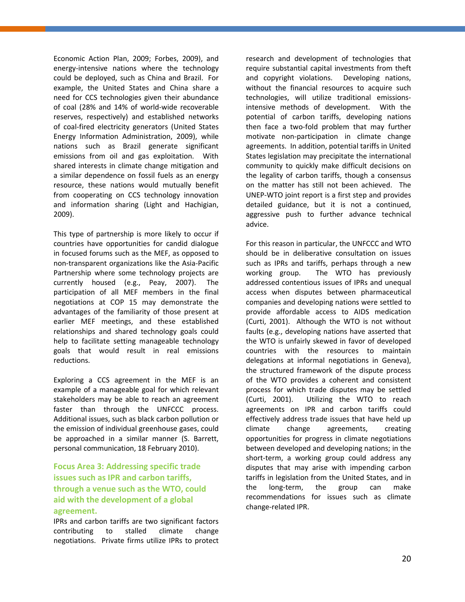Economic Action Plan, 2009; Forbes, 2009), and energy-intensive nations where the technology could be deployed, such as China and Brazil. For example, the United States and China share a need for CCS technologies given their abundance of coal (28% and 14% of world-wide recoverable reserves, respectively) and established networks of coal-fired electricity generators (United States Energy Information Administration, 2009), while nations such as Brazil generate significant emissions from oil and gas exploitation. With shared interests in climate change mitigation and a similar dependence on fossil fuels as an energy resource, these nations would mutually benefit from cooperating on CCS technology innovation and information sharing (Light and Hachigian, 2009).

This type of partnership is more likely to occur if countries have opportunities for candid dialogue in focused forums such as the MEF, as opposed to non-transparent organizations like the Asia-Pacific Partnership where some technology projects are currently housed (e.g., Peay, 2007). The participation of all MEF members in the final negotiations at COP 15 may demonstrate the advantages of the familiarity of those present at earlier MEF meetings, and these established relationships and shared technology goals could help to facilitate setting manageable technology goals that would result in real emissions reductions.

Exploring a CCS agreement in the MEF is an example of a manageable goal for which relevant stakeholders may be able to reach an agreement faster than through the UNFCCC process. Additional issues, such as black carbon pollution or the emission of individual greenhouse gases, could be approached in a similar manner (S. Barrett, personal communication, 18 February 2010).

### **Focus Area 3: Addressing specific trade issues such as IPR and carbon tariffs, through a venue such as the WTO, could aid with the development of a global agreement.**

IPRs and carbon tariffs are two significant factors contributing to stalled climate change negotiations. Private firms utilize IPRs to protect

research and development of technologies that require substantial capital investments from theft and copyright violations. Developing nations, without the financial resources to acquire such technologies, will utilize traditional emissionsintensive methods of development. With the potential of carbon tariffs, developing nations then face a two-fold problem that may further motivate non-participation in climate change agreements. In addition, potential tariffs in United States legislation may precipitate the international community to quickly make difficult decisions on the legality of carbon tariffs, though a consensus on the matter has still not been achieved. The UNEP-WTO joint report is a first step and provides detailed guidance, but it is not a continued, aggressive push to further advance technical advice.

For this reason in particular, the UNFCCC and WTO should be in deliberative consultation on issues such as IPRs and tariffs, perhaps through a new working group. The WTO has previously addressed contentious issues of IPRs and unequal access when disputes between pharmaceutical companies and developing nations were settled to provide affordable access to AIDS medication (Curti, 2001). Although the WTO is not without faults (e.g., developing nations have asserted that the WTO is unfairly skewed in favor of developed countries with the resources to maintain delegations at informal negotiations in Geneva), the structured framework of the dispute process of the WTO provides a coherent and consistent process for which trade disputes may be settled (Curti, 2001). Utilizing the WTO to reach agreements on IPR and carbon tariffs could effectively address trade issues that have held up climate change agreements, creating opportunities for progress in climate negotiations between developed and developing nations; in the short-term, a working group could address any disputes that may arise with impending carbon tariffs in legislation from the United States, and in the long-term, the group can make recommendations for issues such as climate change-related IPR.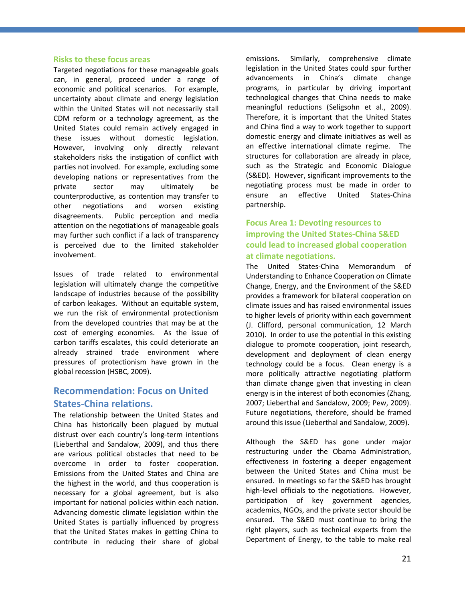#### <span id="page-28-0"></span>**Risks to these focus areas**

Targeted negotiations for these manageable goals can, in general, proceed under a range of economic and political scenarios. For example, uncertainty about climate and energy legislation within the United States will not necessarily stall CDM reform or a technology agreement, as the United States could remain actively engaged in these issues without domestic legislation. However, involving only directly relevant stakeholders risks the instigation of conflict with parties not involved. For example, excluding some developing nations or representatives from the private sector may ultimately be counterproductive, as contention may transfer to other negotiations and worsen existing disagreements. Public perception and media attention on the negotiations of manageable goals may further such conflict if a lack of transparency is perceived due to the limited stakeholder involvement.

Issues of trade related to environmental legislation will ultimately change the competitive landscape of industries because of the possibility of carbon leakages. Without an equitable system, we run the risk of environmental protectionism from the developed countries that may be at the cost of emerging economies. As the issue of carbon tariffs escalates, this could deteriorate an already strained trade environment where pressures of protectionism have grown in the global recession (HSBC, 2009).

### <span id="page-28-1"></span>**Recommendation: Focus on United States-China relations.**

The relationship between the United States and China has historically been plagued by mutual distrust over each country's long-term intentions (Lieberthal and Sandalow, 2009), and thus there are various political obstacles that need to be overcome in order to foster cooperation. Emissions from the United States and China are the highest in the world, and thus cooperation is necessary for a global agreement, but is also important for national policies within each nation. Advancing domestic climate legislation within the United States is partially influenced by progress that the United States makes in getting China to contribute in reducing their share of global emissions. Similarly, comprehensive climate legislation in the United States could spur further advancements in China's climate change programs, in particular by driving important technological changes that China needs to make meaningful reductions (Seligsohn et al., 2009). Therefore, it is important that the United States and China find a way to work together to support domestic energy and climate initiatives as well as an effective international climate regime. The structures for collaboration are already in place, such as the Strategic and Economic Dialogue (S&ED). However, significant improvements to the negotiating process must be made in order to ensure an effective United States-China partnership.

### **Focus Area 1: Devoting resources to improving the United States-China S&ED could lead to increased global cooperation at climate negotiations.**

The United States-China Memorandum of Understanding to Enhance Cooperation on Climate Change, Energy, and the Environment of the S&ED provides a framework for bilateral cooperation on climate issues and has raised environmental issues to higher levels of priority within each government (J. Clifford, personal communication, 12 March 2010). In order to use the potential in this existing dialogue to promote cooperation, joint research, development and deployment of clean energy technology could be a focus. Clean energy is a more politically attractive negotiating platform than climate change given that investing in clean energy is in the interest of both economies (Zhang, 2007; Lieberthal and Sandalow, 2009; Pew, 2009). Future negotiations, therefore, should be framed around this issue (Lieberthal and Sandalow, 2009).

Although the S&ED has gone under major restructuring under the Obama Administration, effectiveness in fostering a deeper engagement between the United States and China must be ensured. In meetings so far the S&ED has brought high-level officials to the negotiations. However, participation of key government agencies, academics, NGOs, and the private sector should be ensured. The S&ED must continue to bring the right players, such as technical experts from the Department of Energy, to the table to make real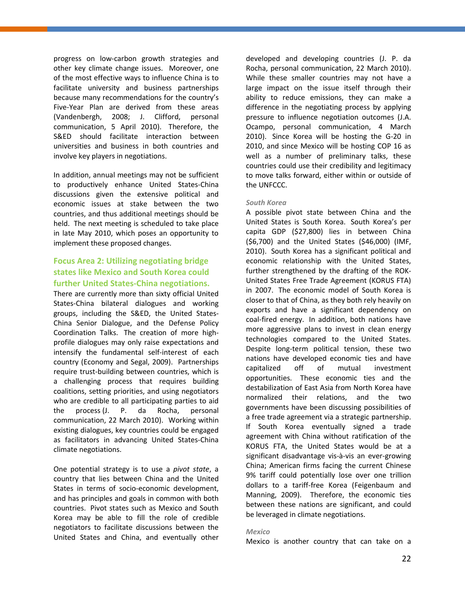progress on low-carbon growth strategies and other key climate change issues. Moreover, one of the most effective ways to influence China is to facilitate university and business partnerships because many recommendations for the country's Five-Year Plan are derived from these areas (Vandenbergh, 2008; J. Clifford, personal communication, 5 April 2010). Therefore, the S&ED should facilitate interaction between universities and business in both countries and involve key players in negotiations.

In addition, annual meetings may not be sufficient to productively enhance United States-China discussions given the extensive political and economic issues at stake between the two countries, and thus additional meetings should be held. The next meeting is scheduled to take place in late May 2010, which poses an opportunity to implement these proposed changes.

### **Focus Area 2: Utilizing negotiating bridge states like Mexico and South Korea could further United States-China negotiations.**

There are currently more than sixty official United States-China bilateral dialogues and working groups, including the S&ED, the United States-China Senior Dialogue, and the Defense Policy Coordination Talks. The creation of more highprofile dialogues may only raise expectations and intensify the fundamental self-interest of each country (Economy and Segal, 2009). Partnerships require trust-building between countries, which is a challenging process that requires building coalitions, setting priorities, and using negotiators who are credible to all participating parties to aid the process (J. P. da Rocha, personal communication, 22 March 2010). Working within existing dialogues, key countries could be engaged as facilitators in advancing United States-China climate negotiations.

One potential strategy is to use a *pivot state*, a country that lies between China and the United States in terms of socio-economic development, and has principles and goals in common with both countries. Pivot states such as Mexico and South Korea may be able to fill the role of credible negotiators to facilitate discussions between the United States and China, and eventually other developed and developing countries (J. P. da Rocha, personal communication, 22 March 2010). While these smaller countries may not have a large impact on the issue itself through their ability to reduce emissions, they can make a difference in the negotiating process by applying pressure to influence negotiation outcomes (J.A. Ocampo, personal communication, 4 March 2010). Since Korea will be hosting the G-20 in 2010, and since Mexico will be hosting COP 16 as well as a number of preliminary talks, these countries could use their credibility and legitimacy to move talks forward, either within or outside of the UNFCCC.

#### *South Korea*

A possible pivot state between China and the United States is South Korea. South Korea's per capita GDP (\$27,800) lies in between China (\$6,700) and the United States (\$46,000) (IMF, 2010). South Korea has a significant political and economic relationship with the United States, further strengthened by the drafting of the ROK-United States Free Trade Agreement (KORUS FTA) in 2007. The economic model of South Korea is closer to that of China, as they both rely heavily on exports and have a significant dependency on coal-fired energy. In addition, both nations have more aggressive plans to invest in clean energy technologies compared to the United States. Despite long-term political tension, these two nations have developed economic ties and have capitalized off of mutual investment opportunities. These economic ties and the destabilization of East Asia from North Korea have normalized their relations, and the two governments have been discussing possibilities of a free trade agreement via a strategic partnership. If South Korea eventually signed a trade agreement with China without ratification of the KORUS FTA, the United States would be at a significant disadvantage vis-à-vis an ever-growing China; American firms facing the current Chinese 9% tariff could potentially lose over one trillion dollars to a tariff-free Korea (Feigenbaum and Manning, 2009). Therefore, the economic ties between these nations are significant, and could be leveraged in climate negotiations.

#### *Mexico*

Mexico is another country that can take on a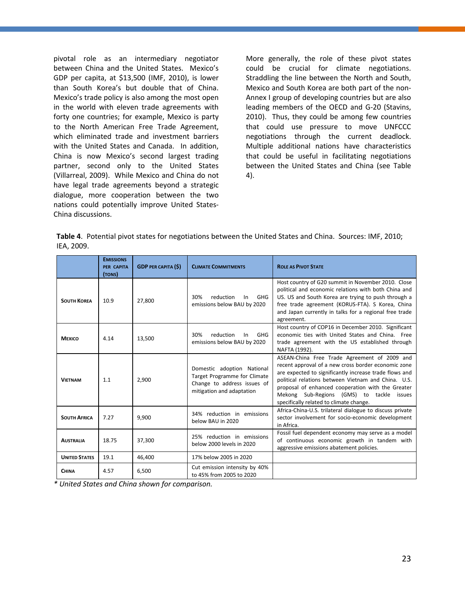pivotal role as an intermediary negotiator between China and the United States. Mexico's GDP per capita, at \$13,500 (IMF, 2010), is lower than South Korea's but double that of China. Mexico's trade policy is also among the most open in the world with eleven trade agreements with forty one countries; for example, Mexico is party to the North American Free Trade Agreement, which eliminated trade and investment barriers with the United States and Canada. In addition, China is now Mexico's second largest trading partner, second only to the United States (Villarreal, 2009). While Mexico and China do not have legal trade agreements beyond a strategic dialogue, more cooperation between the two nations could potentially improve United States-China discussions.

More generally, the role of these pivot states could be crucial for climate negotiations. Straddling the line between the North and South, Mexico and South Korea are both part of the non-Annex I group of developing countries but are also leading members of the OECD and G-20 (Stavins, 2010). Thus, they could be among few countries that could use pressure to move UNFCCC negotiations through the current deadlock. Multiple additional nations have characteristics that could be useful in facilitating negotiations between the United States and China (see Table 4).

|            | Table 4. Potential pivot states for negotiations between the United States and China. Sources: IMF, 2010; |  |
|------------|-----------------------------------------------------------------------------------------------------------|--|
| IEA, 2009. |                                                                                                           |  |

|                      | <b>EMISSIONS</b><br>PER CAPITA<br>(TONS) | <b>GDP PER CAPITA (\$)</b> | <b>CLIMATE COMMITMENTS</b>                                                                                             | <b>ROLE AS PIVOT STATE</b>                                                                                                                                                                                                                                                                                                                                        |
|----------------------|------------------------------------------|----------------------------|------------------------------------------------------------------------------------------------------------------------|-------------------------------------------------------------------------------------------------------------------------------------------------------------------------------------------------------------------------------------------------------------------------------------------------------------------------------------------------------------------|
| <b>SOUTH KOREA</b>   | 10.9                                     | 27,800                     | reduction<br>30%<br>In<br><b>GHG</b><br>emissions below BAU by 2020                                                    | Host country of G20 summit in November 2010. Close<br>political and economic relations with both China and<br>US. US and South Korea are trying to push through a<br>free trade agreement (KORUS-FTA). S Korea, China<br>and Japan currently in talks for a regional free trade<br>agreement.                                                                     |
| <b>MEXICO</b>        | 4.14                                     | 13,500                     | reduction<br>30%<br>In<br><b>GHG</b><br>emissions below BAU by 2020                                                    | Host country of COP16 in December 2010. Significant<br>economic ties with United States and China. Free<br>trade agreement with the US established through<br>NAFTA (1992).                                                                                                                                                                                       |
| <b>VIETNAM</b>       | 1.1                                      | 2,900                      | Domestic adoption National<br>Target Programme for Climate<br>Change to address issues of<br>mitigation and adaptation | ASEAN-China Free Trade Agreement of 2009 and<br>recent approval of a new cross border economic zone<br>are expected to significantly increase trade flows and<br>political relations between Vietnam and China. U.S.<br>proposal of enhanced cooperation with the Greater<br>Mekong Sub-Regions (GMS) to tackle issues<br>specifically related to climate change. |
| <b>SOUTH AFRICA</b>  | 7.27                                     | 9,900                      | 34% reduction in emissions<br>below BAU in 2020                                                                        | Africa-China-U.S. trilateral dialogue to discuss private<br>sector involvement for socio-economic development<br>in Africa.                                                                                                                                                                                                                                       |
| <b>AUSTRALIA</b>     | 18.75                                    | 37,300                     | 25% reduction in emissions<br>below 2000 levels in 2020                                                                | Fossil fuel dependent economy may serve as a model<br>of continuous economic growth in tandem with<br>aggressive emissions abatement policies.                                                                                                                                                                                                                    |
| <b>UNITED STATES</b> | 19.1                                     | 46,400                     | 17% below 2005 in 2020                                                                                                 |                                                                                                                                                                                                                                                                                                                                                                   |
| <b>CHINA</b>         | 4.57                                     | 6,500                      | Cut emission intensity by 40%<br>to 45% from 2005 to 2020                                                              |                                                                                                                                                                                                                                                                                                                                                                   |

*\* United States and China shown for comparison.*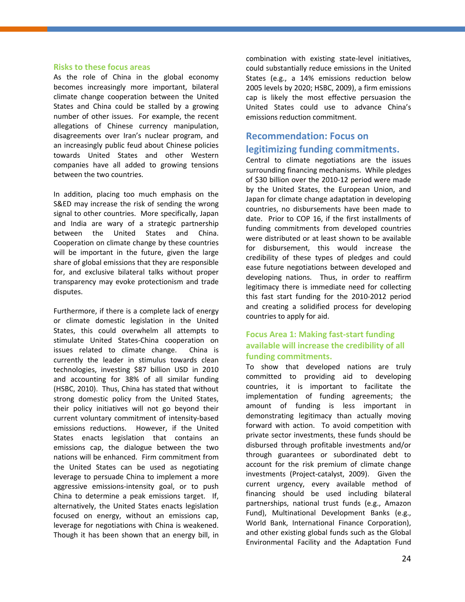#### <span id="page-31-0"></span>**Risks to these focus areas**

As the role of China in the global economy becomes increasingly more important, bilateral climate change cooperation between the United States and China could be stalled by a growing number of other issues. For example, the recent allegations of Chinese currency manipulation, disagreements over Iran's nuclear program, and an increasingly public feud about Chinese policies towards United States and other Western companies have all added to growing tensions between the two countries.

In addition, placing too much emphasis on the S&ED may increase the risk of sending the wrong signal to other countries. More specifically, Japan and India are wary of a strategic partnership between the United States and China. Cooperation on climate change by these countries will be important in the future, given the large share of global emissions that they are responsible for, and exclusive bilateral talks without proper transparency may evoke protectionism and trade disputes.

Furthermore, if there is a complete lack of energy or climate domestic legislation in the United States, this could overwhelm all attempts to stimulate United States-China cooperation on issues related to climate change. China is currently the leader in stimulus towards clean technologies, investing \$87 billion USD in 2010 and accounting for 38% of all similar funding (HSBC, 2010). Thus, China has stated that without strong domestic policy from the United States, their policy initiatives will not go beyond their current voluntary commitment of intensity-based emissions reductions. However, if the United States enacts legislation that contains an emissions cap, the dialogue between the two nations will be enhanced. Firm commitment from the United States can be used as negotiating leverage to persuade China to implement a more aggressive emissions-intensity goal, or to push China to determine a peak emissions target. If, alternatively, the United States enacts legislation focused on energy, without an emissions cap, leverage for negotiations with China is weakened. Though it has been shown that an energy bill, in

combination with existing state-level initiatives, could substantially reduce emissions in the United States (e.g., a 14% emissions reduction below 2005 levels by 2020; HSBC, 2009), a firm emissions cap is likely the most effective persuasion the United States could use to advance China's emissions reduction commitment.

### <span id="page-31-1"></span>**Recommendation: Focus on legitimizing funding commitments.**

Central to climate negotiations are the issues surrounding financing mechanisms. While pledges of \$30 billion over the 2010-12 period were made by the United States, the European Union, and Japan for climate change adaptation in developing countries, no disbursements have been made to date. Prior to COP 16, if the first installments of funding commitments from developed countries were distributed or at least shown to be available for disbursement, this would increase the credibility of these types of pledges and could ease future negotiations between developed and developing nations. Thus, in order to reaffirm legitimacy there is immediate need for collecting this fast start funding for the 2010-2012 period and creating a solidified process for developing countries to apply for aid.

### **Focus Area 1: Making fast-start funding available will increase the credibility of all funding commitments.**

To show that developed nations are truly committed to providing aid to developing countries, it is important to facilitate the implementation of funding agreements; the amount of funding is less important in demonstrating legitimacy than actually moving forward with action. To avoid competition with private sector investments, these funds should be disbursed through profitable investments and/or through guarantees or subordinated debt to account for the risk premium of climate change investments (Project-catalyst, 2009). Given the current urgency, every available method of financing should be used including bilateral partnerships, national trust funds (e.g., Amazon Fund), Multinational Development Banks (e.g., World Bank, International Finance Corporation), and other existing global funds such as the Global Environmental Facility and the Adaptation Fund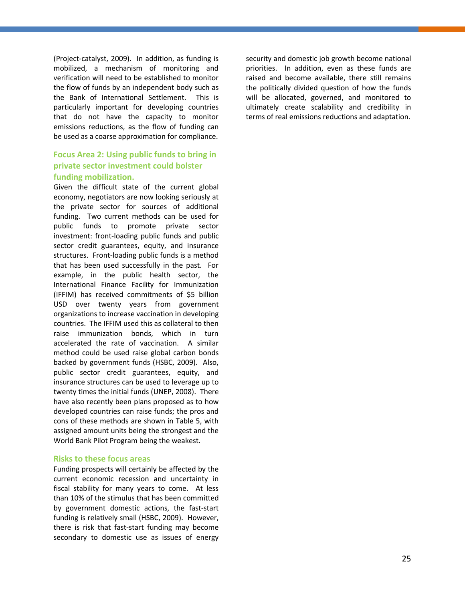(Project-catalyst, 2009). In addition, as funding is mobilized, a mechanism of monitoring and verification will need to be established to monitor the flow of funds by an independent body such as the Bank of International Settlement. This is particularly important for developing countries that do not have the capacity to monitor emissions reductions, as the flow of funding can be used as a coarse approximation for compliance.

### **Focus Area 2: Using public funds to bring in private sector investment could bolster funding mobilization.**

Given the difficult state of the current global economy, negotiators are now looking seriously at the private sector for sources of additional funding. Two current methods can be used for public funds to promote private sector investment: front-loading public funds and public sector credit guarantees, equity, and insurance structures. Front-loading public funds is a method that has been used successfully in the past. For example, in the public health sector, the International Finance Facility for Immunization (IFFIM) has received commitments of \$5 billion USD over twenty years from government organizations to increase vaccination in developing countries. The IFFIM used this as collateral to then raise immunization bonds, which in turn accelerated the rate of vaccination. A similar method could be used raise global carbon bonds backed by government funds (HSBC, 2009). Also, public sector credit guarantees, equity, and insurance structures can be used to leverage up to twenty times the initial funds (UNEP, 2008). There have also recently been plans proposed as to how developed countries can raise funds; the pros and cons of these methods are shown in Table 5, with assigned amount units being the strongest and the World Bank Pilot Program being the weakest.

#### <span id="page-32-0"></span>**Risks to these focus areas**

Funding prospects will certainly be affected by the current economic recession and uncertainty in fiscal stability for many years to come. At less than 10% of the stimulus that has been committed by government domestic actions, the fast-start funding is relatively small (HSBC, 2009). However, there is risk that fast-start funding may become secondary to domestic use as issues of energy security and domestic job growth become national priorities. In addition, even as these funds are raised and become available, there still remains the politically divided question of how the funds will be allocated, governed, and monitored to ultimately create scalability and credibility in terms of real emissions reductions and adaptation.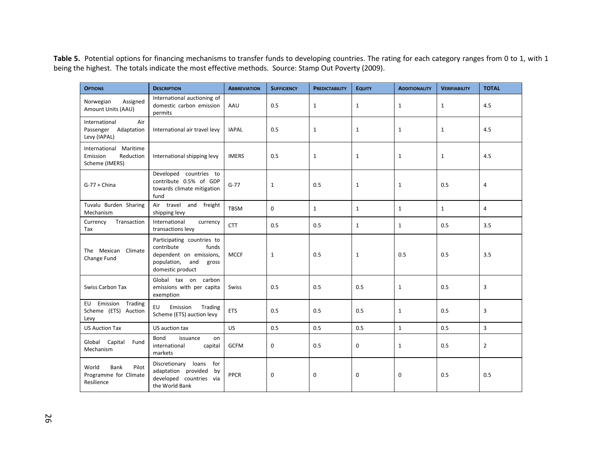Table 5. Potential options for financing mechanisms to transfer funds to developing countries. The rating for each category ranges from 0 to 1, with 1 being the highest. The totals indicate the most effective methods. Source: Stamp Out Poverty (2009).

| <b>OPTIONS</b>                                                                                                    | <b>DESCRIPTION</b>                                                                                                              | <b>ABBREVIATION</b> | <b>SUFFICIENCY</b> | <b>PREDICTABILITY</b> | <b>EQUITY</b> | <b>ADDITIONALITY</b> | <b>VERIFIABILITY</b> | <b>TOTAL</b>   |
|-------------------------------------------------------------------------------------------------------------------|---------------------------------------------------------------------------------------------------------------------------------|---------------------|--------------------|-----------------------|---------------|----------------------|----------------------|----------------|
| International auctioning of<br>Assigned<br>Norwegian<br>domestic carbon emission<br>Amount Units (AAU)<br>permits |                                                                                                                                 | AAU                 | 0.5                | $\mathbf{1}$          | $\mathbf{1}$  | 1                    | $\mathbf{1}$         | 4.5            |
| International<br>Air<br>Passenger<br>Adaptation<br>International air travel levy<br>Levy (IAPAL)                  |                                                                                                                                 | <b>IAPAL</b>        | 0.5                | $\mathbf{1}$          | $\mathbf{1}$  | $\mathbf{1}$         | $\mathbf{1}$         | 4.5            |
| Maritime<br>International<br>Emission<br>Reduction<br>International shipping levy<br>Scheme (IMERS)               |                                                                                                                                 | <b>IMERS</b>        | 0.5                | $\mathbf{1}$          | $\mathbf{1}$  | $\mathbf 1$          | $\mathbf{1}$         | 4.5            |
| $G-77 + China$                                                                                                    | Developed countries to<br>contribute 0.5% of GDP<br>towards climate mitigation<br>fund                                          | $G - 77$            | $\mathbf{1}$       | 0.5                   | $\mathbf{1}$  | 1                    | 0.5                  | $\overline{4}$ |
| Tuvalu Burden Sharing<br>Mechanism                                                                                | Air travel and<br>freight<br>shipping levy                                                                                      | <b>TBSM</b>         | $\mathbf 0$        | $\mathbf{1}$          | $\mathbf{1}$  | $\mathbf{1}$         | $\mathbf{1}$         | 4              |
| Currency<br>Transaction<br>Tax                                                                                    | International<br>currency<br>transactions levy                                                                                  | <b>CTT</b>          | 0.5                | 0.5                   | $\mathbf{1}$  | $\mathbf{1}$         | 0.5                  | 3.5            |
| The Mexican Climate<br>Change Fund                                                                                | Participating countries to<br>contribute<br>funds<br>dependent on emissions,<br>population,<br>and<br>gross<br>domestic product | <b>MCCF</b>         | $\mathbf{1}$       | 0.5                   | $\mathbf{1}$  | 0.5                  | 0.5                  | 3.5            |
| <b>Swiss Carbon Tax</b>                                                                                           | Global tax on carbon<br>emissions with per capita<br>exemption                                                                  | <b>Swiss</b>        | 0.5                | 0.5                   | 0.5           | 1                    | 0.5                  | 3              |
| Emission Trading<br>EU<br>Scheme (ETS) Auction<br>Levy                                                            | EU<br>Emission<br>Trading<br>Scheme (ETS) auction levy                                                                          | <b>ETS</b>          | 0.5                | 0.5                   | 0.5           | $\mathbf{1}$         | 0.5                  | 3              |
| <b>US Auction Tax</b>                                                                                             | US auction tax                                                                                                                  | <b>US</b>           | 0.5                | 0.5                   | 0.5           | $\mathbf{1}$         | 0.5                  | 3              |
| Bond<br>issuance<br>on<br>Global Capital<br>Fund<br>international<br>capital<br>Mechanism<br>markets              |                                                                                                                                 | <b>GCFM</b>         | $\mathbf 0$        | 0.5                   | $\mathbf 0$   | 1                    | 0.5                  | $\overline{2}$ |
| World<br>Bank<br>Pilot<br>Programme for Climate<br>Resilience                                                     | Discretionary loans for<br>adaptation provided<br>by<br>developed countries via<br>the World Bank                               | <b>PPCR</b>         | $\mathbf 0$        | $\mathbf 0$           | $\mathbf 0$   | 0                    | 0.5                  | 0.5            |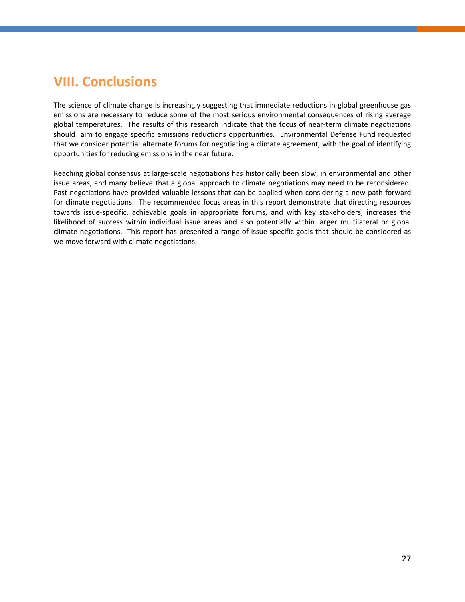## <span id="page-34-0"></span>**VIII. Conclusions**

The science of climate change is increasingly suggesting that immediate reductions in global greenhouse gas emissions are necessary to reduce some of the most serious environmental consequences of rising average global temperatures. The results of this research indicate that the focus of near-term climate negotiations should aim to engage specific emissions reductions opportunities. Environmental Defense Fund requested that we consider potential alternate forums for negotiating a climate agreement, with the goal of identifying opportunities for reducing emissions in the near future.

Reaching global consensus at large-scale negotiations has historically been slow, in environmental and other issue areas, and many believe that a global approach to climate negotiations may need to be reconsidered. Past negotiations have provided valuable lessons that can be applied when considering a new path forward for climate negotiations. The recommended focus areas in this report demonstrate that directing resources towards issue-specific, achievable goals in appropriate forums, and with key stakeholders, increases the likelihood of success within individual issue areas and also potentially within larger multilateral or global climate negotiations. This report has presented a range of issue-specific goals that should be considered as we move forward with climate negotiations.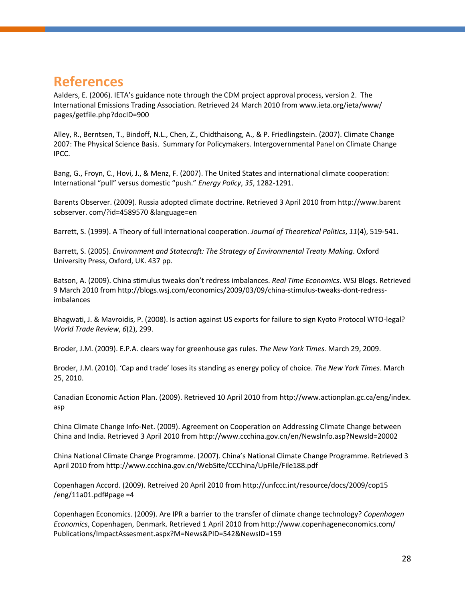## <span id="page-35-0"></span>**References**

Aalders, E. (2006). IETA's guidance note through the CDM project approval process, version 2. The International Emissions Trading Association. Retrieved 24 March 2010 fro[m www.ieta.org/ieta/www/](http://www.ieta.org/ieta/www/) pages/getfile.php?docID=900

Alley, R., Berntsen, T., Bindoff, N.L., Chen, Z., Chidthaisong, A., & P. Friedlingstein. (2007). Climate Change 2007: The Physical Science Basis. Summary for Policymakers. Intergovernmental Panel on Climate Change IPCC.

Bang, G., Froyn, C., Hovi, J., & Menz, F. (2007). The United States and international climate cooperation: International "pull" versus domestic "push." *Energy Policy*, *35*, 1282-1291.

Barents Observer. (2009). Russia adopted climate doctrine. Retrieved 3 April 2010 from [http://www.barent](http://www.barent/) sobserver. com/?id=4589570 &language=en

Barrett, S. (1999). A Theory of full international cooperation. *Journal of Theoretical Politics*, *11*(4), 519-541.

Barrett, S. (2005). *Environment and Statecraft: The Strategy of Environmental Treaty Making*. Oxford University Press, Oxford, UK. 437 pp.

Batson, A. (2009). China stimulus tweaks don't redress imbalances. *Real Time Economics*. WSJ Blogs. Retrieved 9 March 2010 from http://blogs.wsj.com/economics/2009/03/09/china-stimulus-tweaks-dont-redressimbalances

Bhagwati, J. & Mavroidis, P. (2008). Is action against US exports for failure to sign Kyoto Protocol WTO-legal? *World Trade Review*, *6*(2), 299.

Broder, J.M. (2009). E.P.A. clears way for greenhouse gas rules. *The New York Times.* March 29, 2009.

Broder, J.M. (2010). 'Cap and trade' loses its standing as energy policy of choice. *The New York Times*. March 25, 2010.

Canadian Economic Action Plan. (2009). Retrieved 10 April 2010 from [http://www.actionplan.gc.ca/eng/index.](http://www.actionplan.gc.ca/eng/index) asp

China Climate Change Info-Net. (2009). Agreement on Cooperation on Addressing Climate Change between China and India. Retrieved 3 April 2010 from http://www.ccchina.gov.cn/en/NewsInfo.asp?NewsId=20002

China National Climate Change Programme. (2007). China's National Climate Change Programme. Retrieved 3 April 2010 from http://www.ccchina.gov.cn/WebSite/CCChina/UpFile/File188.pdf

Copenhagen Accord. (2009). Retreived 20 April 2010 from<http://unfccc.int/resource/docs/2009/cop15>  $/eng/11a01.pdf$ #page =4

Copenhagen Economics. (2009). Are IPR a barrier to the transfer of climate change technology? *Copenhagen Economics*, Copenhagen, Denmark. Retrieved 1 April 2010 fro[m http://www.copenhageneconomics.com/](http://www.copenhageneconomics.com/) Publications/ImpactAssesment.aspx?M=News&PID=542&NewsID=159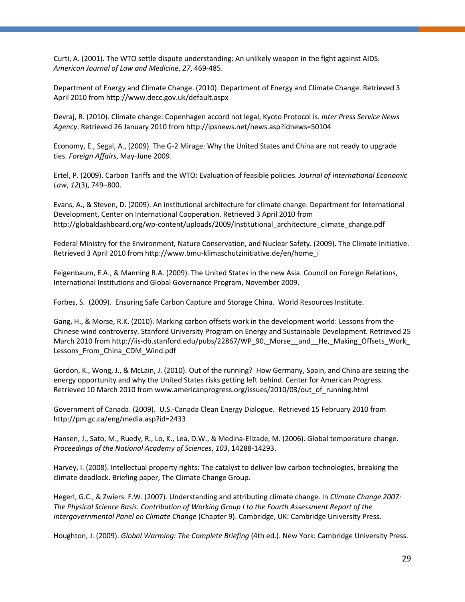Curti, A. (2001). The WTO settle dispute understanding: An unlikely weapon in the fight against AIDS. *American Journal of Law and Medicine*, *27*, 469-485.

Department of Energy and Climate Change. (2010). Department of Energy and Climate Change. Retrieved 3 April 2010 from http://www.decc.gov.uk/default.aspx

Devraj, R. (2010). Climate change: Copenhagen accord not legal, Kyoto Protocol is. *Inter Press Service News Agency*. Retrieved 26 January 2010 from http://ipsnews.net/news.asp?idnews=50104

Economy, E., Segal, A., (2009). The G-2 Mirage: Why the United States and China are not ready to upgrade ties. *Foreign Affairs*, May-June 2009.

Ertel, P. (2009). Carbon Tariffs and the WTO: Evaluation of feasible policies. *Journal of International Economic Law*, *12*(3), 749–800.

Evans, A., & Steven, D. (2009). An institutional architecture for climate change. Department for International Development, Center on International Cooperation. Retrieved 3 April 2010 from http://globaldashboard.org/wp-content/uploads/2009/Institutional\_architecture\_climate\_change.pdf

Federal Ministry for the Environment, Nature Conservation, and Nuclear Safety. (2009). The Climate Initiative. Retrieved 3 April 2010 from http://www.bmu-klimaschutzinitiative.de/en/home\_i

Feigenbaum, E.A., & Manning R.A. (2009). The United States in the new Asia. Council on Foreign Relations, International Institutions and Global Governance Program, November 2009.

Forbes, S. (2009). Ensuring Safe Carbon Capture and Storage China. World Resources Institute.

Gang, H., & Morse, R.K. (2010). Marking carbon offsets work in the development world: Lessons from the Chinese wind controversy. Stanford University Program on Energy and Sustainable Development. Retrieved 25 March 2010 fro[m http://iis-db.stanford.edu/pubs/22867/WP\\_90,\\_Morse\\_\\_and\\_\\_He,\\_Making\\_Offsets\\_Work\\_](http://iis-db.stanford.edu/pubs/22867/WP_90,_Morse__and__He,_Making_Offsets_Work_) Lessons\_From\_China\_CDM\_Wind.pdf

Gordon, K., Wong, J., & McLain, J. (2010). Out of the running? How Germany, Spain, and China are seizing the energy opportunity and why the United States risks getting left behind. Center for American Progress. Retrieved 10 March 2010 from www.americanprogress.org/issues/2010/03/out\_of\_running.html

Government of Canada. (2009). U.S.-Canada Clean Energy Dialogue. Retrieved 15 February 2010 from http://pm.gc.ca/eng/media.asp?id=2433

Hansen, J., Sato, M., Ruedy, R., Lo, K., Lea, D.W., & Medina-Elizade, M. (2006). Global temperature change. *Proceedings of the National Academy of Sciences*, *103*, 14288-14293.

Harvey, I. (2008). Intellectual property rights: The catalyst to deliver low carbon technologies, breaking the climate deadlock. Briefing paper, The Climate Change Group.

Hegerl, G.C., & Zwiers. F.W. (2007). Understanding and attributing climate change. In *Climate Change 2007: The Physical Science Basis. Contribution of Working Group I to the Fourth Assessment Report of the Intergovernmental Panel on Climate Change* (Chapter 9). Cambridge, UK: Cambridge University Press.

Houghton, J. (2009). *Global Warming: The Complete Briefing* (4th ed.). New York: Cambridge University Press.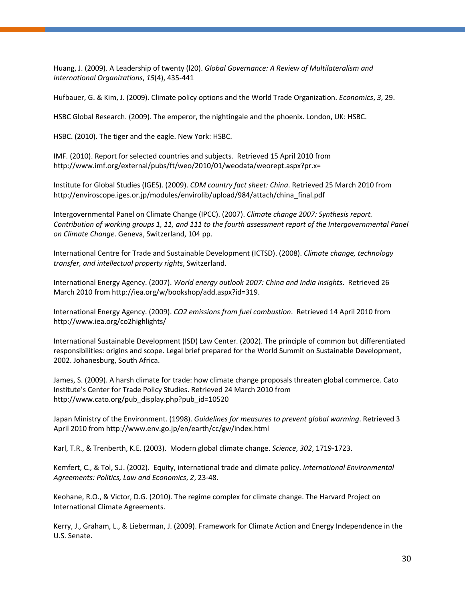Huang, J. (2009). A Leadership of twenty (l20). *Global Governance: A Review of Multilateralism and International Organizations*, *15*(4), 435-441

Hufbauer, G. & Kim, J. (2009). Climate policy options and the World Trade Organization. *Economics*, *3*, 29.

HSBC Global Research. (2009). The emperor, the nightingale and the phoenix. London, UK: HSBC.

HSBC. (2010). The tiger and the eagle. New York: HSBC.

IMF. (2010). Report for selected countries and subjects. Retrieved 15 April 2010 from http://www.imf.org/external/pubs/ft/weo/2010/01/weodata/weorept.aspx?pr.x=

Institute for Global Studies (IGES). (2009). *CDM country fact sheet: China*. Retrieved 25 March 2010 from http://enviroscope.iges.or.jp/modules/envirolib/upload/984/attach/china\_final.pdf

Intergovernmental Panel on Climate Change (IPCC). (2007). *Climate change 2007: Synthesis report. Contribution of working groups 1, 11, and 111 to the fourth assessment report of the Intergovernmental Panel on Climate Change*. Geneva, Switzerland, 104 pp.

International Centre for Trade and Sustainable Development (ICTSD). (2008). *Climate change, technology transfer, and intellectual property rights*, Switzerland.

International Energy Agency. (2007). *World energy outlook 2007: China and India insights*. Retrieved 26 March 2010 from http://iea.org/w/bookshop/add.aspx?id=319.

International Energy Agency. (2009). *CO2 emissions from fuel combustion*. Retrieved 14 April 2010 from http://www.iea.org/co2highlights/

International Sustainable Development (ISD) Law Center. (2002). The principle of common but differentiated responsibilities: origins and scope. Legal brief prepared for the World Summit on Sustainable Development, 2002. Johanesburg, South Africa.

James, S. (2009). A harsh climate for trade: how climate change proposals threaten global commerce. Cato Institute's Center for Trade Policy Studies. Retrieved 24 March 2010 from http://www.cato.org/pub\_display.php?pub\_id=10520

Japan Ministry of the Environment. (1998). *Guidelines for measures to prevent global warming*. Retrieved 3 April 2010 from http://www.env.go.jp/en/earth/cc/gw/index.html

Karl, T.R., & Trenberth, K.E. (2003). Modern global climate change. *Science*, *302*, 1719-1723.

Kemfert, C., & Tol, S.J. (2002). Equity, international trade and climate policy. *International Environmental Agreements: Politics, Law and Economics*, *2*, 23-48.

Keohane, R.O., & Victor, D.G. (2010). The regime complex for climate change. The Harvard Project on International Climate Agreements.

Kerry, J., Graham, L., & Lieberman, J. (2009). Framework for Climate Action and Energy Independence in the U.S. Senate.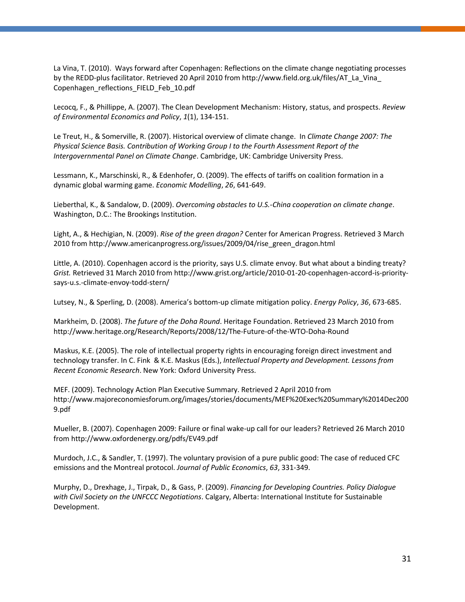La Vina, T. (2010). Ways forward after Copenhagen: Reflections on the climate change negotiating processes by the REDD-plus facilitator. Retrieved 20 April 2010 from [http://www.field.org.uk/files/AT\\_La\\_Vina\\_](http://www.field.org.uk/files/AT_La_Vina_) Copenhagen\_reflections\_FIELD\_Feb\_10.pdf

Lecocq, F., & Phillippe, A. (2007). The Clean Development Mechanism: History, status, and prospects. *Review of Environmental Economics and Policy*, *1*(1), 134-151.

Le Treut, H., & Somerville, R. (2007). Historical overview of climate change. In *Climate Change 2007: The Physical Science Basis. Contribution of Working Group I to the Fourth Assessment Report of the Intergovernmental Panel on Climate Change*. Cambridge, UK: Cambridge University Press.

Lessmann, K., Marschinski, R., & Edenhofer, O. (2009). The effects of tariffs on coalition formation in a dynamic global warming game. *Economic Modelling*, *26*, 641-649.

Lieberthal, K., & Sandalow, D. (2009). *Overcoming obstacles to U.S.-China cooperation on climate change*. Washington, D.C.: The Brookings Institution.

Light, A., & Hechigian, N. (2009). *Rise of the green dragon?* Center for American Progress. Retrieved 3 March 2010 from http://www.americanprogress.org/issues/2009/04/rise\_green\_dragon.html

Little, A. (2010). Copenhagen accord is the priority, says U.S. climate envoy. But what about a binding treaty? *Grist.* Retrieved 31 March 2010 from http://www.grist.org/article/2010-01-20-copenhagen-accord-is-prioritysays-u.s.-climate-envoy-todd-stern/

Lutsey, N., & Sperling, D. (2008). America's bottom-up climate mitigation policy. *Energy Policy*, *36*, 673-685.

Markheim, D. (2008). *The future of the Doha Round*. Heritage Foundation. Retrieved 23 March 2010 from http://www.heritage.org/Research/Reports/2008/12/The-Future-of-the-WTO-Doha-Round

Maskus, K.E. (2005). The role of intellectual property rights in encouraging foreign direct investment and technology transfer. In C. Fink & K.E. Maskus (Eds.), *Intellectual Property and Development. Lessons from Recent Economic Research*. New York: Oxford University Press.

MEF. (2009). Technology Action Plan Executive Summary. Retrieved 2 April 2010 from [http://www.majoreconomiesforum.org/images/stories/documents/MEF%20Exec%20Summary%2014Dec200](http://www.majoreconomiesforum.org/images/stories/documents/MEF%20Exec%20Summary%2014Dec2009.pdf) [9.pdf](http://www.majoreconomiesforum.org/images/stories/documents/MEF%20Exec%20Summary%2014Dec2009.pdf)

Mueller, B. (2007). Copenhagen 2009: Failure or final wake-up call for our leaders? Retrieved 26 March 2010 from http://www.oxfordenergy.org/pdfs/EV49.pdf

Murdoch, J.C., & Sandler, T. (1997). The voluntary provision of a pure public good: The case of reduced CFC emissions and the Montreal protocol. *Journal of Public Economics*, *63*, 331-349.

Murphy, D., Drexhage, J., Tirpak, D., & Gass, P. (2009). *Financing for Developing Countries. Policy Dialogue with Civil Society on the UNFCCC Negotiations*. Calgary, Alberta: International Institute for Sustainable Development.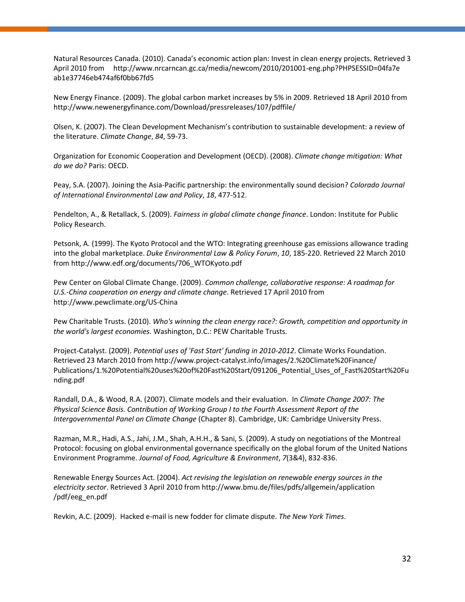Natural Resources Canada. (2010). Canada's economic action plan: Invest in clean energy projects. Retrieved 3 April 2010 from <http://www.nrcarncan.gc.ca/media/newcom/2010/201001-eng.php?PHPSESSID=04fa7e> ab1e37746eb474af6f0bb67fd5

New Energy Finance. (2009). The global carbon market increases by 5% in 2009. Retrieved 18 April 2010 from <http://www.newenergyfinance.com/Download/pressreleases/107/pdffile/>

Olsen, K. (2007). The Clean Development Mechanism's contribution to sustainable development: a review of the literature. *Climate Change*, *84*, 59-73.

Organization for Economic Cooperation and Development (OECD). (2008). *Climate change mitigation: What do we do?* Paris: OECD.

Peay, S.A. (2007). Joining the Asia-Pacific partnership: the environmentally sound decision? *Colorado Journal of International Environmental Law and Policy*, *18*, 477-512.

Pendelton, A., & Retallack, S. (2009). *Fairness in global climate change finance*. London: Institute for Public Policy Research.

Petsonk, A. (1999). The Kyoto Protocol and the WTO: Integrating greenhouse gas emissions allowance trading into the global marketplace. *Duke Environmental Law & Policy Forum*, *10*, 185-220. Retrieved 22 March 2010 from http://www.edf.org/documents/706\_WTOKyoto.pdf

Pew Center on Global Climate Change. (2009). *Common challenge, collaborative response: A roadmap for U.S.-China cooperation on energy and climate change*. Retrieved 17 April 2010 from <http://www.pewclimate.org/US-China>

Pew Charitable Trusts. (2010). *Who's winning the clean energy race?: Growth, competition and opportunity in the world's largest economies*. Washington, D.C.: PEW Charitable Trusts.

Project-Catalyst. (2009). *Potential uses of 'Fast Start' funding in 2010-2012*. Climate Works Foundation. Retrieved 23 March 2010 from<http://www.project-catalyst.info/images/2.%20Climate%20Finance/> Publications/1.%20Potential%20uses%20of%20Fast%20Start/091206\_Potential\_Uses\_of\_Fast%20Start%20Fu nding.pdf

Randall, D.A., & Wood, R.A. (2007). Climate models and their evaluation. In *Climate Change 2007: The Physical Science Basis. Contribution of Working Group I to the Fourth Assessment Report of the Intergovernmental Panel on Climate Change* (Chapter 8). Cambridge, UK: Cambridge University Press.

Razman, M.R., Hadi, A.S., Jahi, J.M., Shah, A.H.H., & Sani, S. (2009). A study on negotiations of the Montreal Protocol: focusing on global environmental governance specifically on the global forum of the United Nations Environment Programme. *Journal of Food, Agriculture & Environment*, *7*(3&4), 832-836.

Renewable Energy Sources Act. (2004). *Act revising the legislation on renewable energy sources in the electricity sector*. Retrieved 3 April 2010 from<http://www.bmu.de/files/pdfs/allgemein/application> /pdf/eeg\_en.pdf

Revkin, A.C. (2009). Hacked e-mail is new fodder for climate dispute. *The New York Times*.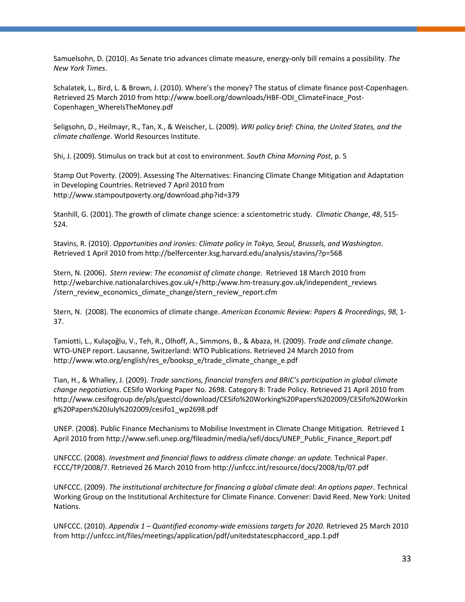Samuelsohn, D. (2010). As Senate trio advances climate measure, energy-only bill remains a possibility. *The New York Times*.

Schalatek, L., Bird, L. & Brown, J. (2010). Where's the money? The status of climate finance post-Copenhagen. Retrieved 25 March 2010 from http://www.boell.org/downloads/HBF-ODI\_ClimateFinace\_Post-Copenhagen\_WhereIsTheMoney.pdf

Seligsohn, D., Heilmayr, R., Tan, X., & Weischer, L. (2009). *WRI policy brief: China, the United States, and the climate challenge*. World Resources Institute.

Shi, J. (2009). Stimulus on track but at cost to environment. *South China Morning Post*, p. 5

Stamp Out Poverty. (2009). Assessing The Alternatives: Financing Climate Change Mitigation and Adaptation in Developing Countries. Retrieved 7 April 2010 from http://www.stampoutpoverty.org/download.php?id=379

Stanhill, G. (2001). The growth of climate change science: a scientometric study. *Climatic Change*, *48*, 515- 524.

Stavins, R. (2010). *Opportunities and ironies: Climate policy in Tokyo, Seoul, Brussels, and Washington*. Retrieved 1 April 2010 from http://belfercenter.ksg.harvard.edu/analysis/stavins/?p=568

Stern, N. (2006). *Stern review: The economist of climate change*. Retrieved 18 March 2010 from [http://webarchive.nationalarchives.gov.uk/+/http:/www.hm-treasury.gov.uk/independent\\_reviews](http://webarchive.nationalarchives.gov.uk/+/http:/www.hm-treasury.gov.uk/independent_reviews) /stern\_review\_economics\_climate\_change/stern\_review\_report.cfm

Stern, N. (2008). The economics of climate change. *American Economic Review: Papers & Proceedings*, *98*, 1- 37.

Tamiotti, L., Kulaçoğlu, V., Teh, R., Olhoff, A., Simmons, B., & Abaza, H. (2009). *Trade and climate change.* WTO-UNEP report. Lausanne, Switzerland: WTO Publications. Retrieved 24 March 2010 from http://www.wto.org/english/res\_e/booksp\_e/trade\_climate\_change\_e.pdf

Tian, H., & Whalley, J. (2009). *Trade sanctions, financial transfers and BRIC's participation in global climate change negotiations*. CESifo Working Paper No. 2698. Category 8: Trade Policy. Retrieved 21 April 2010 from http://www.cesifogroup.de/pls/guestci/download/CESifo%20Working%20Papers%202009/CESifo%20Workin g%20Papers%20July%202009/cesifo1\_wp2698.pdf

UNEP. (2008). Public Finance Mechanisms to Mobilise Investment in Climate Change Mitigation. Retrieved 1 April 2010 from [http://www.sefi.unep.org/fileadmin/media/sefi/docs/UNEP\\_Public\\_Finance\\_Report.pdf](http://www.sefi.unep.org/fileadmin/media/sefi/docs/UNEP_Public_Finance_Report.pdf)

UNFCCC. (2008). *Investment and financial flows to address climate change: an update.* Technical Paper. FCCC/TP/2008/7. Retrieved 26 March 2010 from http://unfccc.int/resource/docs/2008/tp/07.pdf

UNFCCC. (2009). *The institutional architecture for financing a global climate deal: An options paper*. Technical Working Group on the Institutional Architecture for Climate Finance. Convener: David Reed. New York: United Nations.

UNFCCC. (2010). *Appendix 1 – Quantified economy-wide emissions targets for 2020*. Retrieved 25 March 2010 from http://unfccc.int/files/meetings/application/pdf/unitedstatescphaccord\_app.1.pdf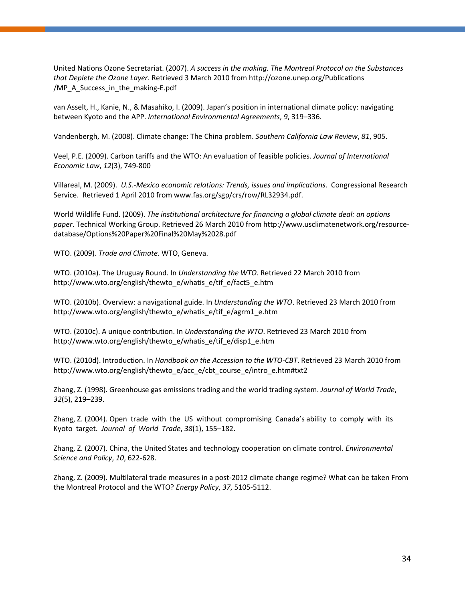United Nations Ozone Secretariat. (2007). *A success in the making. The Montreal Protocol on the Substances that Deplete the Ozone Layer*. Retrieved 3 March 2010 fro[m http://ozone.unep.org/Publications](http://ozone.unep.org/Publications%20/MP_A_Success_in_the_making-E.pdf)  [/MP\\_A\\_Success\\_in\\_the\\_making-E.pdf](http://ozone.unep.org/Publications%20/MP_A_Success_in_the_making-E.pdf)

van Asselt, H., Kanie, N., & Masahiko, I. (2009). Japan's position in international climate policy: navigating between Kyoto and the APP. *International Environmental Agreements*, *9*, 319–336.

Vandenbergh, M. (2008). Climate change: The China problem. *Southern California Law Review*, *81*, 905.

Veel, P.E. (2009). Carbon tariffs and the WTO: An evaluation of feasible policies. *Journal of International Economic Law*, *12*(3), 749-800

Villareal, M. (2009). *U.S.-Mexico economic relations: Trends, issues and implications*. Congressional Research Service. Retrieved 1 April 2010 from www.fas.org/sgp/crs/row/RL32934.pdf.

World Wildlife Fund. (2009). *The institutional architecture for financing a global climate deal: an options paper*. Technical Working Group. Retrieved 26 March 2010 from http://www.usclimatenetwork.org/resourcedatabase/Options%20Paper%20Final%20May%2028.pdf

WTO. (2009). *Trade and Climate*. WTO, Geneva.

WTO. (2010a). The Uruguay Round. In *Understanding the WTO*. Retrieved 22 March 2010 from http://www.wto.org/english/thewto\_e/whatis\_e/tif\_e/fact5\_e.htm

WTO. (2010b). Overview: a navigational guide. In *Understanding the WTO*. Retrieved 23 March 2010 from http://www.wto.org/english/thewto\_e/whatis\_e/tif\_e/agrm1\_e.htm

WTO. (2010c). A unique contribution. In *Understanding the WTO*. Retrieved 23 March 2010 from http://www.wto.org/english/thewto\_e/whatis\_e/tif\_e/disp1\_e.htm

WTO. (2010d). Introduction. In *Handbook on the Accession to the WTO-CBT*. Retrieved 23 March 2010 from http://www.wto.org/english/thewto\_e/acc\_e/cbt\_course\_e/intro\_e.htm#txt2

Zhang, Z. (1998). Greenhouse gas emissions trading and the world trading system. *Journal of World Trade*, *32*(5), 219–239.

Zhang, Z. (2004). Open trade with the US without compromising Canada's ability to comply with its Kyoto target. *Journal of World Trade*, *38*(1), 155–182.

Zhang, Z. (2007). China, the United States and technology cooperation on climate control. *Environmental Science and Policy*, *10*, 622-628.

Zhang, Z. (2009). Multilateral trade measures in a post-2012 climate change regime? What can be taken From the Montreal Protocol and the WTO? *Energy Policy*, *37*, 5105-5112.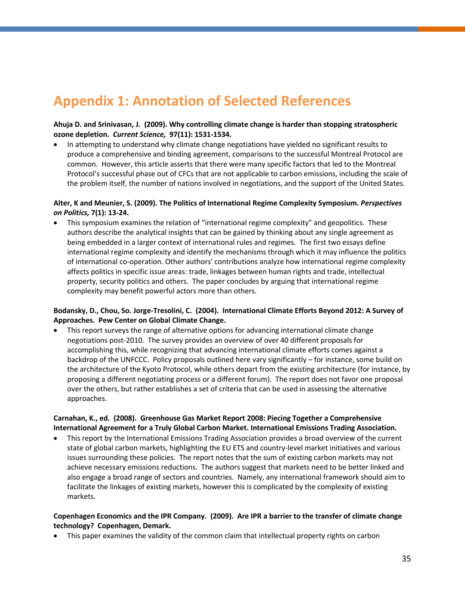## <span id="page-42-0"></span>**Appendix 1: Annotation of Selected References**

#### **Ahuja D. and Srinivasan, J. (2009). Why controlling climate change is harder than stopping stratospheric ozone depletion.** *Current Science,* **97(11): 1531-1534.**

• In attempting to understand why climate change negotiations have yielded no significant results to produce a comprehensive and binding agreement, comparisons to the successful Montreal Protocol are common. However, this article asserts that there were many specific factors that led to the Montreal Protocol's successful phase out of CFCs that are not applicable to carbon emissions, including the scale of the problem itself, the number of nations involved in negotiations, and the support of the United States.

#### **Alter, K and Meunier, S. (2009). The Politics of International Regime Complexity Symposium.** *Perspectives on Politics,* **7(1): 13-24.**

• This symposium examines the relation of "international regime complexity" and geopolitics. These authors describe the analytical insights that can be gained by thinking about any single agreement as being embedded in a larger context of international rules and regimes. The first two essays define international regime complexity and identify the mechanisms through which it may influence the politics of international co-operation. Other authors' contributions analyze how international regime complexity affects politics in specific issue areas: trade, linkages between human rights and trade, intellectual property, security politics and others. The paper concludes by arguing that international regime complexity may benefit powerful actors more than others.

#### **Bodansky, D., Chou, So. Jorge-Tresolini, C. (2004). International Climate Efforts Beyond 2012: A Survey of Approaches. Pew Center on Global Climate Change.**

• This report surveys the range of alternative options for advancing international climate change negotiations post-2010. The survey provides an overview of over 40 different proposals for accomplishing this, while recognizing that advancing international climate efforts comes against a backdrop of the UNFCCC. Policy proposals outlined here vary significantly – for instance, some build on the architecture of the Kyoto Protocol, while others depart from the existing architecture (for instance, by proposing a different negotiating process or a different forum). The report does not favor one proposal over the others, but rather establishes a set of criteria that can be used in assessing the alternative approaches.

#### **Carnahan, K., ed. (2008). Greenhouse Gas Market Report 2008: Piecing Together a Comprehensive International Agreement for a Truly Global Carbon Market. International Emissions Trading Association.**

• This report by the International Emissions Trading Association provides a broad overview of the current state of global carbon markets, highlighting the EU ETS and country-level market initiatives and various issues surrounding these policies. The report notes that the sum of existing carbon markets may not achieve necessary emissions reductions. The authors suggest that markets need to be better linked and also engage a broad range of sectors and countries. Namely, any international framework should aim to facilitate the linkages of existing markets, however this is complicated by the complexity of existing markets.

#### **Copenhagen Economics and the IPR Company. (2009). Are IPR a barrier to the transfer of climate change technology? Copenhagen, Demark.**

• This paper examines the validity of the common claim that intellectual property rights on carbon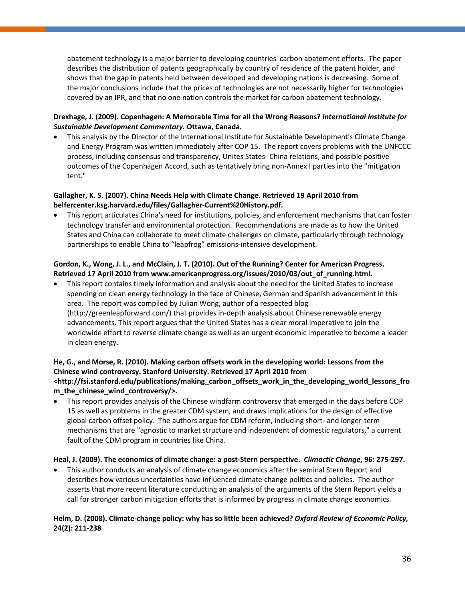abatement technology is a major barrier to developing countries' carbon abatement efforts. The paper describes the distribution of patents geographically by country of residence of the patent holder, and shows that the gap in patents held between developed and developing nations is decreasing. Some of the major conclusions include that the prices of technologies are not necessarily higher for technologies covered by an IPR, and that no one nation controls the market for carbon abatement technology.

#### **Drexhage, J. (2009). Copenhagen: A Memorable Time for all the Wrong Reasons?** *International Institute for Sustainable Development Commentary.* **Ottawa, Canada.**

• This analysis by the Director of the International Institute for Sustainable Development's Climate Change and Energy Program was written immediately after COP 15. The report covers problems with the UNFCCC process, including consensus and transparency, Unites States- China relations, and possible positive outcomes of the Copenhagen Accord, such as tentatively bring non-Annex I parties into the "mitigation tent."

#### **Gallagher, K. S. (2007). China Needs Help with Climate Change. Retrieved 19 April 2010 from belfercenter.ksg.harvard.edu/files/Gallagher-Current%20History.pdf.**

• This report articulates China's need for institutions, policies, and enforcement mechanisms that can foster technology transfer and environmental protection. Recommendations are made as to how the United States and China can collaborate to meet climate challenges on climate, particularly through technology partnerships to enable China to "leapfrog" emissions-intensive development.

#### **Gordon, K., Wong, J. L., and McClain, J. T. (2010). Out of the Running? Center for American Progress. Retrieved 17 April 2010 from [www.americanprogress.org/issues/2010/03/out\\_of\\_running.html.](http://www.americanprogress.org/issues/2010/03/out_of_running.html)**

• This report contains timely information and analysis about the need for the United States to increase spending on clean energy technology in the face of Chinese, German and Spanish advancement in this area. The report was compiled by Julian Wong, author of a respected blog [\(http://greenleapforward.com/\)](http://greenleapforward.com/) that provides in-depth analysis about Chinese renewable energy advancements. This report argues that the United States has a clear moral imperative to join the worldwide effort to reverse climate change as well as an urgent economic imperative to become a leader in clean energy.

#### **He, G., and Morse, R. (2010). Making carbon offsets work in the developing world: Lessons from the Chinese wind controversy. Stanford University. Retrieved 17 April 2010 from <http://fsi.stanford.edu/publications/making\_carbon\_offsets\_work\_in\_the\_developing\_world\_lessons\_fro m\_the\_chinese\_wind\_controversy/>.**

• This report provides analysis of the Chinese windfarm controversy that emerged in the days before COP 15 as well as problems in the greater CDM system, and draws implications for the design of effective global carbon offset policy. The authors argue for CDM reform, including short- and longer-term mechanisms that are "agnostic to market structure and independent of domestic regulators," a current fault of the CDM program in countries like China.

#### **Heal, J. (2009). The economics of climate change: a post-Stern perspective.** *Climactic Change***, 96: 275-297.**

• This author conducts an analysis of climate change economics after the seminal Stern Report and describes how various uncertainties have influenced climate change politics and policies. The author asserts that more recent literature conducting an analysis of the arguments of the Stern Report yields a call for stronger carbon mitigation efforts that is informed by progress in climate change economics.

#### **Helm, D. (2008). Climate-change policy: why has so little been achieved?** *Oxford Review of Economic Policy,* **24(2): 211-238**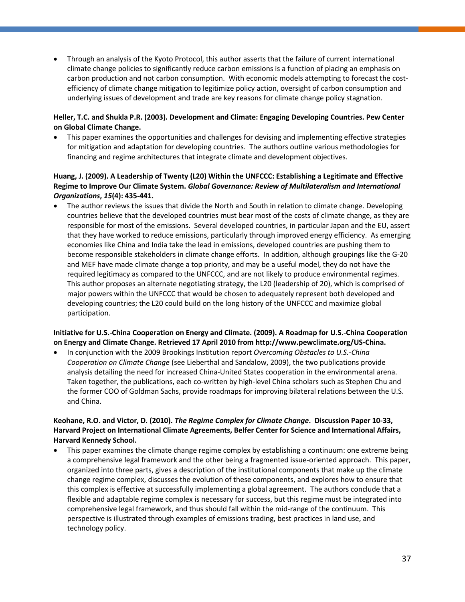• Through an analysis of the Kyoto Protocol, this author asserts that the failure of current international climate change policies to significantly reduce carbon emissions is a function of placing an emphasis on carbon production and not carbon consumption. With economic models attempting to forecast the costefficiency of climate change mitigation to legitimize policy action, oversight of carbon consumption and underlying issues of development and trade are key reasons for climate change policy stagnation.

#### **Heller, T.C. and Shukla P.R. (2003). Development and Climate: Engaging Developing Countries. Pew Center on Global Climate Change.**

• This paper examines the opportunities and challenges for devising and implementing effective strategies for mitigation and adaptation for developing countries. The authors outline various methodologies for financing and regime architectures that integrate climate and development objectives.

#### **Huang, J. (2009). A Leadership of Twenty (L20) Within the UNFCCC: Establishing a Legitimate and Effective Regime to Improve Our Climate System.** *Global Governance: Review of Multilateralism and International Organizations***,** *15***(4): 435-441.**

• The author reviews the issues that divide the North and South in relation to climate change. Developing countries believe that the developed countries must bear most of the costs of climate change, as they are responsible for most of the emissions. Several developed countries, in particular Japan and the EU, assert that they have worked to reduce emissions, particularly through improved energy efficiency. As emerging economies like China and India take the lead in emissions, developed countries are pushing them to become responsible stakeholders in climate change efforts. In addition, although groupings like the G-20 and MEF have made climate change a top priority, and may be a useful model, they do not have the required legitimacy as compared to the UNFCCC, and are not likely to produce environmental regimes. This author proposes an alternate negotiating strategy, the L20 (leadership of 20), which is comprised of major powers within the UNFCCC that would be chosen to adequately represent both developed and developing countries; the L20 could build on the long history of the UNFCCC and maximize global participation.

#### **Initiative for U.S.-China Cooperation on Energy and Climate. (2009). A Roadmap for U.S.-China Cooperation on Energy and Climate Change. Retrieved 17 April 2010 fro[m http://www.pewclimate.org/US-China.](http://www.pewclimate.org/US-China)**

• In conjunction with the 2009 Brookings Institution report *Overcoming Obstacles to U.S.-China Cooperation on Climate Change* (see Lieberthal and Sandalow, 2009), the two publications provide analysis detailing the need for increased China-United States cooperation in the environmental arena. Taken together, the publications, each co-written by high-level China scholars such as Stephen Chu and the former COO of Goldman Sachs, provide roadmaps for improving bilateral relations between the U.S. and China.

#### **Keohane, R.O. and Victor, D. (2010).** *The Regime Complex for Climate Change***. Discussion Paper 10-33, Harvard Project on International Climate Agreements, Belfer Center for Science and International Affairs, Harvard Kennedy School.**

• This paper examines the climate change regime complex by establishing a continuum: one extreme being a comprehensive legal framework and the other being a fragmented issue-oriented approach. This paper, organized into three parts, gives a description of the institutional components that make up the climate change regime complex, discusses the evolution of these components, and explores how to ensure that this complex is effective at successfully implementing a global agreement. The authors conclude that a flexible and adaptable regime complex is necessary for success, but this regime must be integrated into comprehensive legal framework, and thus should fall within the mid-range of the continuum. This perspective is illustrated through examples of emissions trading, best practices in land use, and technology policy.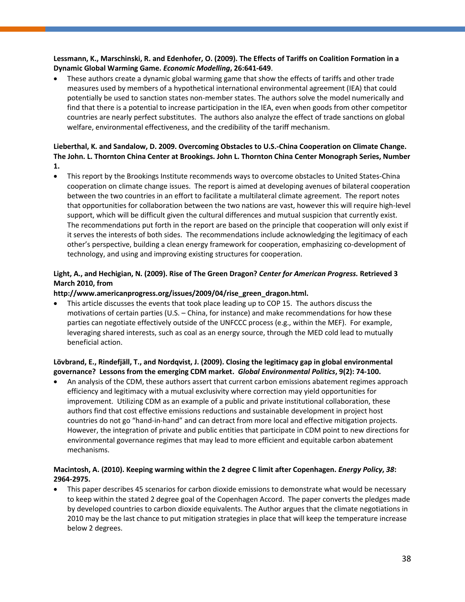#### **Lessmann, K., Marschinski, R. and Edenhofer, O. (2009). The Effects of Tariffs on Coalition Formation in a Dynamic Global Warming Game.** *Economic Modelling***, 26:641-649**.

• These authors create a dynamic global warming game that show the effects of tariffs and other trade measures used by members of a hypothetical international environmental agreement (IEA) that could potentially be used to sanction states non-member states. The authors solve the model numerically and find that there is a potential to increase participation in the IEA, even when goods from other competitor countries are nearly perfect substitutes. The authors also analyze the effect of trade sanctions on global welfare, environmental effectiveness, and the credibility of the tariff mechanism.

#### **Lieberthal, K. and Sandalow, D. 2009. Overcoming Obstacles to U.S.-China Cooperation on Climate Change. The John. L. Thornton China Center at Brookings. John L. Thornton China Center Monograph Series, Number 1.**

• This report by the Brookings Institute recommends ways to overcome obstacles to United States-China cooperation on climate change issues. The report is aimed at developing avenues of bilateral cooperation between the two countries in an effort to facilitate a multilateral climate agreement. The report notes that opportunities for collaboration between the two nations are vast, however this will require high-level support, which will be difficult given the cultural differences and mutual suspicion that currently exist. The recommendations put forth in the report are based on the principle that cooperation will only exist if it serves the interests of both sides. The recommendations include acknowledging the legitimacy of each other's perspective, building a clean energy framework for cooperation, emphasizing co-development of technology, and using and improving existing structures for cooperation.

#### **Light, A., and Hechigian, N. (2009). Rise of The Green Dragon?** *Center for American Progress.* **Retrieved 3 March 2010, from**

#### **[http://www.americanprogress.org/issues/2009/04/rise\\_green\\_dragon.html.](http://www.americanprogress.org/issues/2009/04/rise_green_dragon.html)**

• This article discusses the events that took place leading up to COP 15. The authors discuss the motivations of certain parties (U.S. – China, for instance) and make recommendations for how these parties can negotiate effectively outside of the UNFCCC process (e.g., within the MEF). For example, leveraging shared interests, such as coal as an energy source, through the MED cold lead to mutually beneficial action.

#### **Lövbrand, E., Rindefjäll, T., and Nordqvist, J. (2009). Closing the legitimacy gap in global environmental governance? Lessons from the emerging CDM market.** *Global Environmental Politics***, 9(2): 74-100.**

• An analysis of the CDM, these authors assert that current carbon emissions abatement regimes approach efficiency and legitimacy with a mutual exclusivity where correction may yield opportunities for improvement. Utilizing CDM as an example of a public and private institutional collaboration, these authors find that cost effective emissions reductions and sustainable development in project host countries do not go "hand-in-hand" and can detract from more local and effective mitigation projects. However, the integration of private and public entities that participate in CDM point to new directions for environmental governance regimes that may lead to more efficient and equitable carbon abatement mechanisms.

#### **Macintosh, A. (2010). Keeping warming within the 2 degree C limit after Copenhagen.** *Energy Policy***,** *38***: 2964-2975.**

• This paper describes 45 scenarios for carbon dioxide emissions to demonstrate what would be necessary to keep within the stated 2 degree goal of the Copenhagen Accord. The paper converts the pledges made by developed countries to carbon dioxide equivalents. The Author argues that the climate negotiations in 2010 may be the last chance to put mitigation strategies in place that will keep the temperature increase below 2 degrees.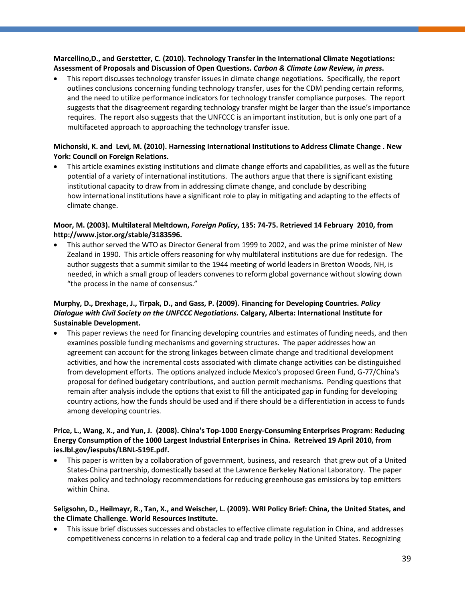#### **Marcellino,D., and Gerstetter, C. (2010). Technology Transfer in the International Climate Negotiations: Assessment of Proposals and Discussion of Open Questions.** *Carbon & Climate Law Review, in press***.**

• This report discusses technology transfer issues in climate change negotiations. Specifically, the report outlines conclusions concerning funding technology transfer, uses for the CDM pending certain reforms, and the need to utilize performance indicators for technology transfer compliance purposes. The report suggests that the disagreement regarding technology transfer might be larger than the issue's importance requires. The report also suggests that the UNFCCC is an important institution, but is only one part of a multifaceted approach to approaching the technology transfer issue.

#### **Michonski, K. and Levi, M. (2010). Harnessing International Institutions to Address Climate Change . New York: Council on Foreign Relations.**

• This article examines existing institutions and climate change efforts and capabilities, as well as the future potential of a variety of international institutions. The authors argue that there is significant existing institutional capacity to draw from in addressing climate change, and conclude by describing how international institutions have a significant role to play in mitigating and adapting to the effects of climate change.

#### **Moor, M. (2003). Multilateral Meltdown,** *Foreign Policy***, 135: 74-75. Retrieved 14 February 2010, from http://www.jstor.org/stable/3183596.**

• This author served the WTO as Director General from 1999 to 2002, and was the prime minister of New Zealand in 1990. This article offers reasoning for why multilateral institutions are due for redesign. The author suggests that a summit similar to the 1944 meeting of world leaders in Bretton Woods, NH, is needed, in which a small group of leaders convenes to reform global governance without slowing down "the process in the name of consensus."

#### **Murphy, D., Drexhage, J., Tirpak, D., and Gass, P. (2009). Financing for Developing Countries.** *Policy Dialogue with Civil Society on the UNFCCC Negotiations.* **Calgary, Alberta: International Institute for Sustainable Development.**

This paper reviews the need for financing developing countries and estimates of funding needs, and then examines possible funding mechanisms and governing structures. The paper addresses how an agreement can account for the strong linkages between climate change and traditional development activities, and how the incremental costs associated with climate change activities can be distinguished from development efforts. The options analyzed include Mexico's proposed Green Fund, G-77/China's proposal for defined budgetary contributions, and auction permit mechanisms. Pending questions that remain after analysis include the options that exist to fill the anticipated gap in funding for developing country actions, how the funds should be used and if there should be a differentiation in access to funds among developing countries.

#### **Price, L., Wang, X., and Yun, J. (2008). China's Top-1000 Energy-Consuming Enterprises Program: Reducing Energy Consumption of the 1000 Largest Industrial Enterprises in China. Retreived 19 April 2010, from ies.lbl.gov/iespubs/LBNL-519E.pdf.**

This paper is written by a collaboration of government, business, and research that grew out of a United States-China partnership, domestically based at the Lawrence Berkeley National Laboratory. The paper makes policy and technology recommendations for reducing greenhouse gas emissions by top emitters within China.

#### **Seligsohn, D., Heilmayr, R., Tan, X., and Weischer, L. (2009). WRI Policy Brief: China, the United States, and the Climate Challenge. World Resources Institute.**

• This issue brief discusses successes and obstacles to effective climate regulation in China, and addresses competitiveness concerns in relation to a federal cap and trade policy in the United States. Recognizing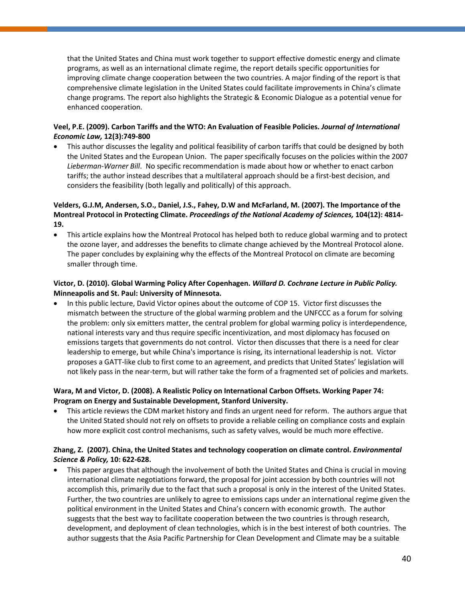that the United States and China must work together to support effective domestic energy and climate programs, as well as an international climate regime, the report details specific opportunities for improving climate change cooperation between the two countries. A major finding of the report is that comprehensive climate legislation in the United States could facilitate improvements in China's climate change programs. The report also highlights the Strategic & Economic Dialogue as a potential venue for enhanced cooperation.

#### **Veel, P.E. (2009). Carbon Tariffs and the WTO: An Evaluation of Feasible Policies.** *Journal of International Economic Law,* **12(3):749-800**

• This author discusses the legality and political feasibility of carbon tariffs that could be designed by both the United States and the European Union. The paper specifically focuses on the policies within the 2007 *Lieberman-Warner Bill*. No specific recommendation is made about how or whether to enact carbon tariffs; the author instead describes that a multilateral approach should be a first-best decision, and considers the feasibility (both legally and politically) of this approach.

#### **Velders, G.J.M, Andersen, S.O., Daniel, J.S., Fahey, D.W and McFarland, M. (2007). The Importance of the Montreal Protocol in Protecting Climate.** *Proceedings of the National Academy of Sciences,* **104(12): 4814- 19.**

• This article explains how the Montreal Protocol has helped both to reduce global warming and to protect the ozone layer, and addresses the benefits to climate change achieved by the Montreal Protocol alone. The paper concludes by explaining why the effects of the Montreal Protocol on climate are becoming smaller through time.

#### **Victor, D. (2010). Global Warming Policy After Copenhagen.** *Willard D. Cochrane Lecture in Public Policy.* **Minneapolis and St. Paul: University of Minnesota.**

• In this public lecture, David Victor opines about the outcome of COP 15. Victor first discusses the mismatch between the structure of the global warming problem and the UNFCCC as a forum for solving the problem: only six emitters matter, the central problem for global warming policy is interdependence, national interests vary and thus require specific incentivization, and most diplomacy has focused on emissions targets that governments do not control. Victor then discusses that there is a need for clear leadership to emerge, but while China's importance is rising, its international leadership is not. Victor proposes a GATT-like club to first come to an agreement, and predicts that United States' legislation will not likely pass in the near-term, but will rather take the form of a fragmented set of policies and markets.

#### **Wara, M and Victor, D. (2008). A Realistic Policy on International Carbon Offsets. Working Paper 74: Program on Energy and Sustainable Development, Stanford University.**

• This article reviews the CDM market history and finds an urgent need for reform. The authors argue that the United Stated should not rely on offsets to provide a reliable ceiling on compliance costs and explain how more explicit cost control mechanisms, such as safety valves, would be much more effective.

#### **Zhang, Z. (2007). China, the United States and technology cooperation on climate control.** *Environmental Science & Policy,* **10: 622-628.**

• This paper argues that although the involvement of both the United States and China is crucial in moving international climate negotiations forward, the proposal for joint accession by both countries will not accomplish this, primarily due to the fact that such a proposal is only in the interest of the United States. Further, the two countries are unlikely to agree to emissions caps under an international regime given the political environment in the United States and China's concern with economic growth. The author suggests that the best way to facilitate cooperation between the two countries is through research, development, and deployment of clean technologies, which is in the best interest of both countries. The author suggests that the Asia Pacific Partnership for Clean Development and Climate may be a suitable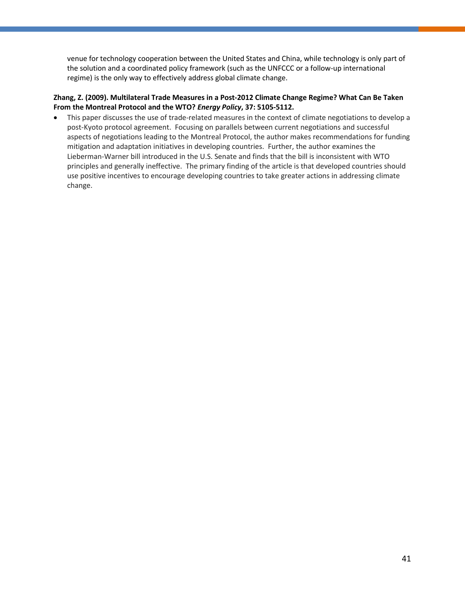venue for technology cooperation between the United States and China, while technology is only part of the solution and a coordinated policy framework (such as the UNFCCC or a follow-up international regime) is the only way to effectively address global climate change.

#### **Zhang, Z. (2009). Multilateral Trade Measures in a Post-2012 Climate Change Regime? What Can Be Taken From the Montreal Protocol and the WTO?** *Energy Policy***, 37: 5105-5112.**

• This paper discusses the use of trade-related measures in the context of climate negotiations to develop a post-Kyoto protocol agreement. Focusing on parallels between current negotiations and successful aspects of negotiations leading to the Montreal Protocol, the author makes recommendations for funding mitigation and adaptation initiatives in developing countries. Further, the author examines the Lieberman-Warner bill introduced in the U.S. Senate and finds that the bill is inconsistent with WTO principles and generally ineffective. The primary finding of the article is that developed countries should use positive incentives to encourage developing countries to take greater actions in addressing climate change.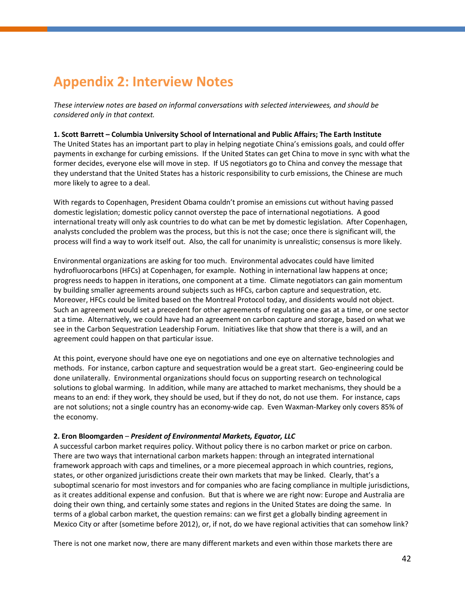## <span id="page-49-0"></span>**Appendix 2: Interview Notes**

*These interview notes are based on informal conversations with selected interviewees, and should be considered only in that context.* 

#### **1. Scott Barrett – Columbia University School of International and Public Affairs; The Earth Institute**

The United States has an important part to play in helping negotiate China's emissions goals, and could offer payments in exchange for curbing emissions. If the United States can get China to move in sync with what the former decides, everyone else will move in step. If US negotiators go to China and convey the message that they understand that the United States has a historic responsibility to curb emissions, the Chinese are much more likely to agree to a deal.

With regards to Copenhagen, President Obama couldn't promise an emissions cut without having passed domestic legislation; domestic policy cannot overstep the pace of international negotiations. A good international treaty will only ask countries to do what can be met by domestic legislation. After Copenhagen, analysts concluded the problem was the process, but this is not the case; once there is significant will, the process will find a way to work itself out. Also, the call for unanimity is unrealistic; consensus is more likely.

Environmental organizations are asking for too much. Environmental advocates could have limited hydrofluorocarbons (HFCs) at Copenhagen, for example. Nothing in international law happens at once; progress needs to happen in iterations, one component at a time. Climate negotiators can gain momentum by building smaller agreements around subjects such as HFCs, carbon capture and sequestration, etc. Moreover, HFCs could be limited based on the Montreal Protocol today, and dissidents would not object. Such an agreement would set a precedent for other agreements of regulating one gas at a time, or one sector at a time. Alternatively, we could have had an agreement on carbon capture and storage, based on what we see in the Carbon Sequestration Leadership Forum. Initiatives like that show that there is a will, and an agreement could happen on that particular issue.

At this point, everyone should have one eye on negotiations and one eye on alternative technologies and methods. For instance, carbon capture and sequestration would be a great start. Geo-engineering could be done unilaterally. Environmental organizations should focus on supporting research on technological solutions to global warming. In addition, while many are attached to market mechanisms, they should be a means to an end: if they work, they should be used, but if they do not, do not use them. For instance, caps are not solutions; not a single country has an economy-wide cap. Even Waxman-Markey only covers 85% of the economy.

#### **2. Eron Bloomgarden** – *President of Environmental Markets, Equator, LLC*

A successful carbon market requires policy. Without policy there is no carbon market or price on carbon. There are two ways that international carbon markets happen: through an integrated international framework approach with caps and timelines, or a more piecemeal approach in which countries, regions, states, or other organized jurisdictions create their own markets that may be linked. Clearly, that's a suboptimal scenario for most investors and for companies who are facing compliance in multiple jurisdictions, as it creates additional expense and confusion. But that is where we are right now: Europe and Australia are doing their own thing, and certainly some states and regions in the United States are doing the same. In terms of a global carbon market, the question remains: can we first get a globally binding agreement in Mexico City or after (sometime before 2012), or, if not, do we have regional activities that can somehow link?

There is not one market now, there are many different markets and even within those markets there are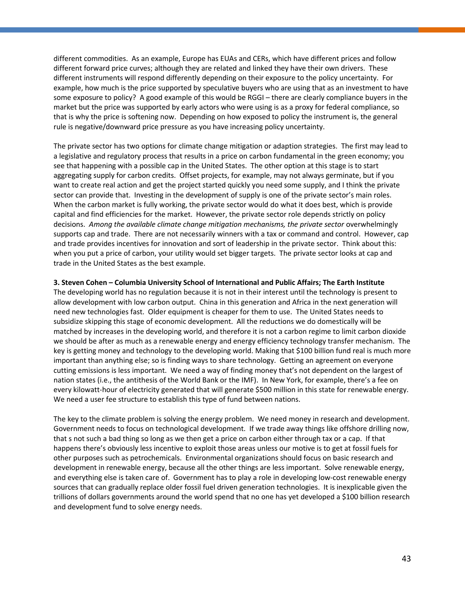different commodities. As an example, Europe has EUAs and CERs, which have different prices and follow different forward price curves; although they are related and linked they have their own drivers. These different instruments will respond differently depending on their exposure to the policy uncertainty. For example, how much is the price supported by speculative buyers who are using that as an investment to have some exposure to policy? A good example of this would be RGGI – there are clearly compliance buyers in the market but the price was supported by early actors who were using is as a proxy for federal compliance, so that is why the price is softening now. Depending on how exposed to policy the instrument is, the general rule is negative/downward price pressure as you have increasing policy uncertainty.

The private sector has two options for climate change mitigation or adaption strategies. The first may lead to a legislative and regulatory process that results in a price on carbon fundamental in the green economy; you see that happening with a possible cap in the United States. The other option at this stage is to start aggregating supply for carbon credits. Offset projects, for example, may not always germinate, but if you want to create real action and get the project started quickly you need some supply, and I think the private sector can provide that. Investing in the development of supply is one of the private sector's main roles. When the carbon market is fully working, the private sector would do what it does best, which is provide capital and find efficiencies for the market. However, the private sector role depends strictly on policy decisions. *Among the available climate change mitigation mechanisms, the private sector* overwhelmingly supports cap and trade. There are not necessarily winners with a tax or command and control. However, cap and trade provides incentives for innovation and sort of leadership in the private sector. Think about this: when you put a price of carbon, your utility would set bigger targets. The private sector looks at cap and trade in the United States as the best example.

#### **3. Steven Cohen – Columbia University School of International and Public Affairs; The Earth Institute**

The developing world has no regulation because it is not in their interest until the technology is present to allow development with low carbon output. China in this generation and Africa in the next generation will need new technologies fast. Older equipment is cheaper for them to use. The United States needs to subsidize skipping this stage of economic development. All the reductions we do domestically will be matched by increases in the developing world, and therefore it is not a carbon regime to limit carbon dioxide we should be after as much as a renewable energy and energy efficiency technology transfer mechanism. The key is getting money and technology to the developing world. Making that \$100 billion fund real is much more important than anything else; so is finding ways to share technology. Getting an agreement on everyone cutting emissions is less important. We need a way of finding money that's not dependent on the largest of nation states (i.e., the antithesis of the World Bank or the IMF). In New York, for example, there's a fee on every kilowatt-hour of electricity generated that will generate \$500 million in this state for renewable energy. We need a user fee structure to establish this type of fund between nations.

The key to the climate problem is solving the energy problem. We need money in research and development. Government needs to focus on technological development. If we trade away things like offshore drilling now, that s not such a bad thing so long as we then get a price on carbon either through tax or a cap. If that happens there's obviously less incentive to exploit those areas unless our motive is to get at fossil fuels for other purposes such as petrochemicals. Environmental organizations should focus on basic research and development in renewable energy, because all the other things are less important. Solve renewable energy, and everything else is taken care of. Government has to play a role in developing low-cost renewable energy sources that can gradually replace older fossil fuel driven generation technologies. It is inexplicable given the trillions of dollars governments around the world spend that no one has yet developed a \$100 billion research and development fund to solve energy needs.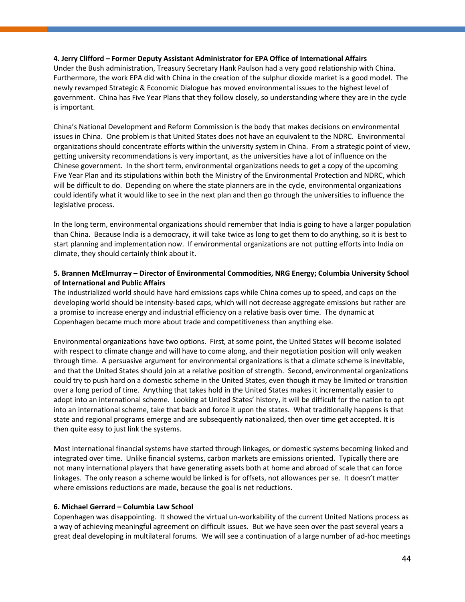#### **4. Jerry Clifford – Former Deputy Assistant Administrator for EPA Office of International Affairs**

Under the Bush administration, Treasury Secretary Hank Paulson had a very good relationship with China. Furthermore, the work EPA did with China in the creation of the sulphur dioxide market is a good model. The newly revamped Strategic & Economic Dialogue has moved environmental issues to the highest level of government. China has Five Year Plans that they follow closely, so understanding where they are in the cycle is important.

China's National Development and Reform Commission is the body that makes decisions on environmental issues in China. One problem is that United States does not have an equivalent to the NDRC. Environmental organizations should concentrate efforts within the university system in China. From a strategic point of view, getting university recommendations is very important, as the universities have a lot of influence on the Chinese government. In the short term, environmental organizations needs to get a copy of the upcoming Five Year Plan and its stipulations within both the Ministry of the Environmental Protection and NDRC, which will be difficult to do. Depending on where the state planners are in the cycle, environmental organizations could identify what it would like to see in the next plan and then go through the universities to influence the legislative process.

In the long term, environmental organizations should remember that India is going to have a larger population than China. Because India is a democracy, it will take twice as long to get them to do anything, so it is best to start planning and implementation now. If environmental organizations are not putting efforts into India on climate, they should certainly think about it.

#### **5. Brannen McElmurray – Director of Environmental Commodities, NRG Energy; Columbia University School of International and Public Affairs**

The industrialized world should have hard emissions caps while China comes up to speed, and caps on the developing world should be intensity-based caps, which will not decrease aggregate emissions but rather are a promise to increase energy and industrial efficiency on a relative basis over time. The dynamic at Copenhagen became much more about trade and competitiveness than anything else.

Environmental organizations have two options. First, at some point, the United States will become isolated with respect to climate change and will have to come along, and their negotiation position will only weaken through time. A persuasive argument for environmental organizations is that a climate scheme is inevitable, and that the United States should join at a relative position of strength. Second, environmental organizations could try to push hard on a domestic scheme in the United States, even though it may be limited or transition over a long period of time. Anything that takes hold in the United States makes it incrementally easier to adopt into an international scheme. Looking at United States' history, it will be difficult for the nation to opt into an international scheme, take that back and force it upon the states. What traditionally happens is that state and regional programs emerge and are subsequently nationalized, then over time get accepted. It is then quite easy to just link the systems.

Most international financial systems have started through linkages, or domestic systems becoming linked and integrated over time. Unlike financial systems, carbon markets are emissions oriented. Typically there are not many international players that have generating assets both at home and abroad of scale that can force linkages. The only reason a scheme would be linked is for offsets, not allowances per se. It doesn't matter where emissions reductions are made, because the goal is net reductions.

#### **6. Michael Gerrard – Columbia Law School**

Copenhagen was disappointing. It showed the virtual un-workability of the current United Nations process as a way of achieving meaningful agreement on difficult issues. But we have seen over the past several years a great deal developing in multilateral forums. We will see a continuation of a large number of ad-hoc meetings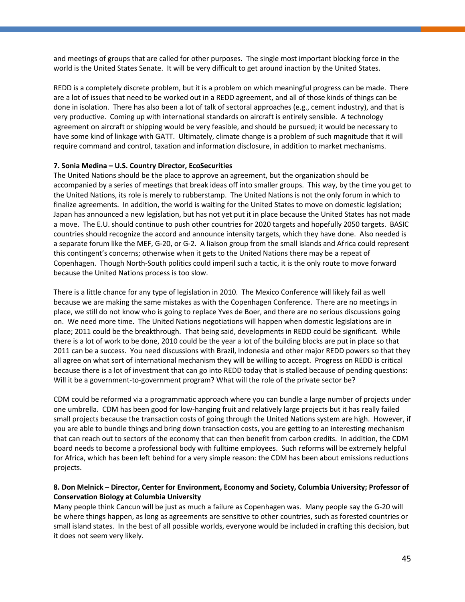and meetings of groups that are called for other purposes. The single most important blocking force in the world is the United States Senate. It will be very difficult to get around inaction by the United States.

REDD is a completely discrete problem, but it is a problem on which meaningful progress can be made. There are a lot of issues that need to be worked out in a REDD agreement, and all of those kinds of things can be done in isolation. There has also been a lot of talk of sectoral approaches (e.g., cement industry), and that is very productive. Coming up with international standards on aircraft is entirely sensible. A technology agreement on aircraft or shipping would be very feasible, and should be pursued; it would be necessary to have some kind of linkage with GATT. Ultimately, climate change is a problem of such magnitude that it will require command and control, taxation and information disclosure, in addition to market mechanisms.

#### **7. Sonia Medina – U.S. Country Director, EcoSecurities**

The United Nations should be the place to approve an agreement, but the organization should be accompanied by a series of meetings that break ideas off into smaller groups. This way, by the time you get to the United Nations, its role is merely to rubberstamp. The United Nations is not the only forum in which to finalize agreements. In addition, the world is waiting for the United States to move on domestic legislation; Japan has announced a new legislation, but has not yet put it in place because the United States has not made a move. The E.U. should continue to push other countries for 2020 targets and hopefully 2050 targets. BASIC countries should recognize the accord and announce intensity targets, which they have done. Also needed is a separate forum like the MEF, G-20, or G-2. A liaison group from the small islands and Africa could represent this contingent's concerns; otherwise when it gets to the United Nations there may be a repeat of Copenhagen. Though North-South politics could imperil such a tactic, it is the only route to move forward because the United Nations process is too slow.

There is a little chance for any type of legislation in 2010. The Mexico Conference will likely fail as well because we are making the same mistakes as with the Copenhagen Conference. There are no meetings in place, we still do not know who is going to replace Yves de Boer, and there are no serious discussions going on. We need more time. The United Nations negotiations will happen when domestic legislations are in place; 2011 could be the breakthrough. That being said, developments in REDD could be significant. While there is a lot of work to be done, 2010 could be the year a lot of the building blocks are put in place so that 2011 can be a success. You need discussions with Brazil, Indonesia and other major REDD powers so that they all agree on what sort of international mechanism they will be willing to accept. Progress on REDD is critical because there is a lot of investment that can go into REDD today that is stalled because of pending questions: Will it be a government-to-government program? What will the role of the private sector be?

CDM could be reformed via a programmatic approach where you can bundle a large number of projects under one umbrella. CDM has been good for low-hanging fruit and relatively large projects but it has really failed small projects because the transaction costs of going through the United Nations system are high. However, if you are able to bundle things and bring down transaction costs, you are getting to an interesting mechanism that can reach out to sectors of the economy that can then benefit from carbon credits. In addition, the CDM board needs to become a professional body with fulltime employees. Such reforms will be extremely helpful for Africa, which has been left behind for a very simple reason: the CDM has been about emissions reductions projects.

#### **8. Don Melnick** – **Director, Center for Environment, Economy and Society, Columbia University; Professor of Conservation Biology at Columbia University**

Many people think Cancun will be just as much a failure as Copenhagen was. Many people say the G-20 will be where things happen, as long as agreements are sensitive to other countries, such as forested countries or small island states. In the best of all possible worlds, everyone would be included in crafting this decision, but it does not seem very likely.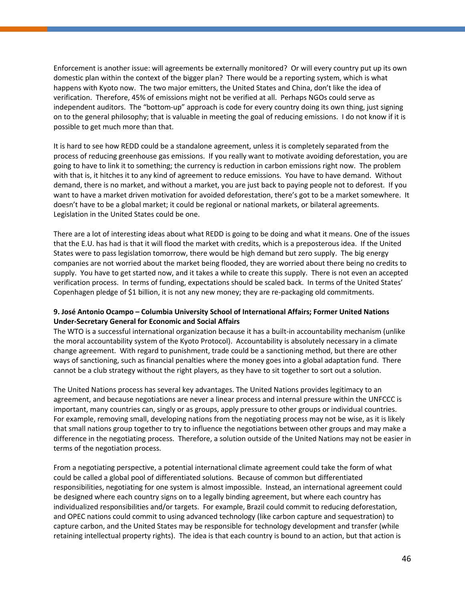Enforcement is another issue: will agreements be externally monitored? Or will every country put up its own domestic plan within the context of the bigger plan? There would be a reporting system, which is what happens with Kyoto now. The two major emitters, the United States and China, don't like the idea of verification. Therefore, 45% of emissions might not be verified at all. Perhaps NGOs could serve as independent auditors. The "bottom-up" approach is code for every country doing its own thing, just signing on to the general philosophy; that is valuable in meeting the goal of reducing emissions. I do not know if it is possible to get much more than that.

It is hard to see how REDD could be a standalone agreement, unless it is completely separated from the process of reducing greenhouse gas emissions. If you really want to motivate avoiding deforestation, you are going to have to link it to something; the currency is reduction in carbon emissions right now. The problem with that is, it hitches it to any kind of agreement to reduce emissions. You have to have demand. Without demand, there is no market, and without a market, you are just back to paying people not to deforest. If you want to have a market driven motivation for avoided deforestation, there's got to be a market somewhere. It doesn't have to be a global market; it could be regional or national markets, or bilateral agreements. Legislation in the United States could be one.

There are a lot of interesting ideas about what REDD is going to be doing and what it means. One of the issues that the E.U. has had is that it will flood the market with credits, which is a preposterous idea. If the United States were to pass legislation tomorrow, there would be high demand but zero supply. The big energy companies are not worried about the market being flooded, they are worried about there being no credits to supply. You have to get started now, and it takes a while to create this supply. There is not even an accepted verification process. In terms of funding, expectations should be scaled back. In terms of the United States' Copenhagen pledge of \$1 billion, it is not any new money; they are re-packaging old commitments.

#### **9. José Antonio Ocampo – Columbia University School of International Affairs; Former United Nations Under-Secretary General for Economic and Social Affairs**

The WTO is a successful international organization because it has a built-in accountability mechanism (unlike the moral accountability system of the Kyoto Protocol). Accountability is absolutely necessary in a climate change agreement. With regard to punishment, trade could be a sanctioning method, but there are other ways of sanctioning, such as financial penalties where the money goes into a global adaptation fund. There cannot be a club strategy without the right players, as they have to sit together to sort out a solution.

The United Nations process has several key advantages. The United Nations provides legitimacy to an agreement, and because negotiations are never a linear process and internal pressure within the UNFCCC is important, many countries can, singly or as groups, apply pressure to other groups or individual countries. For example, removing small, developing nations from the negotiating process may not be wise, as it is likely that small nations group together to try to influence the negotiations between other groups and may make a difference in the negotiating process. Therefore, a solution outside of the United Nations may not be easier in terms of the negotiation process.

From a negotiating perspective, a potential international climate agreement could take the form of what could be called a global pool of differentiated solutions. Because of common but differentiated responsibilities, negotiating for one system is almost impossible. Instead, an international agreement could be designed where each country signs on to a legally binding agreement, but where each country has individualized responsibilities and/or targets. For example, Brazil could commit to reducing deforestation, and OPEC nations could commit to using advanced technology (like carbon capture and sequestration) to capture carbon, and the United States may be responsible for technology development and transfer (while retaining intellectual property rights). The idea is that each country is bound to an action, but that action is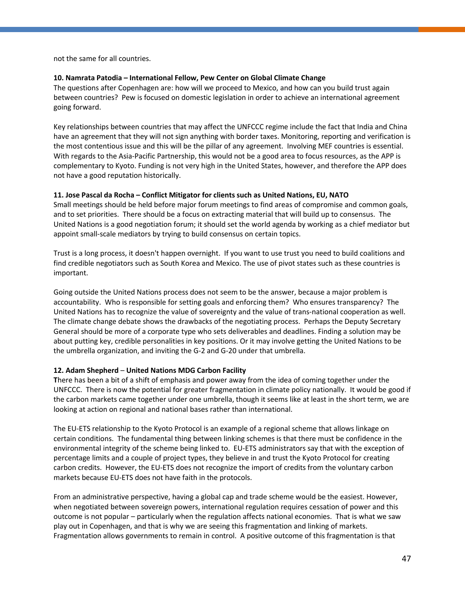not the same for all countries.

#### **10. Namrata Patodia – International Fellow, Pew Center on Global Climate Change**

The questions after Copenhagen are: how will we proceed to Mexico, and how can you build trust again between countries? Pew is focused on domestic legislation in order to achieve an international agreement going forward.

Key relationships between countries that may affect the UNFCCC regime include the fact that India and China have an agreement that they will not sign anything with border taxes. Monitoring, reporting and verification is the most contentious issue and this will be the pillar of any agreement. Involving MEF countries is essential. With regards to the Asia-Pacific Partnership, this would not be a good area to focus resources, as the APP is complementary to Kyoto. Funding is not very high in the United States, however, and therefore the APP does not have a good reputation historically.

#### **11. Jose Pascal da Rocha – Conflict Mitigator for clients such as United Nations, EU, NATO**

Small meetings should be held before major forum meetings to find areas of compromise and common goals, and to set priorities. There should be a focus on extracting material that will build up to consensus. The United Nations is a good negotiation forum; it should set the world agenda by working as a chief mediator but appoint small-scale mediators by trying to build consensus on certain topics.

Trust is a long process, it doesn't happen overnight. If you want to use trust you need to build coalitions and find credible negotiators such as South Korea and Mexico. The use of pivot states such as these countries is important.

Going outside the United Nations process does not seem to be the answer, because a major problem is accountability. Who is responsible for setting goals and enforcing them? Who ensures transparency? The United Nations has to recognize the value of sovereignty and the value of trans-national cooperation as well. The climate change debate shows the drawbacks of the negotiating process. Perhaps the Deputy Secretary General should be more of a corporate type who sets deliverables and deadlines. Finding a solution may be about putting key, credible personalities in key positions. Or it may involve getting the United Nations to be the umbrella organization, and inviting the G-2 and G-20 under that umbrella.

#### **12. Adam Shepherd** – **United Nations MDG Carbon Facility**

**T**here has been a bit of a shift of emphasis and power away from the idea of coming together under the UNFCCC. There is now the potential for greater fragmentation in climate policy nationally. It would be good if the carbon markets came together under one umbrella, though it seems like at least in the short term, we are looking at action on regional and national bases rather than international.

The EU-ETS relationship to the Kyoto Protocol is an example of a regional scheme that allows linkage on certain conditions. The fundamental thing between linking schemes is that there must be confidence in the environmental integrity of the scheme being linked to. EU-ETS administrators say that with the exception of percentage limits and a couple of project types, they believe in and trust the Kyoto Protocol for creating carbon credits. However, the EU-ETS does not recognize the import of credits from the voluntary carbon markets because EU-ETS does not have faith in the protocols.

From an administrative perspective, having a global cap and trade scheme would be the easiest. However, when negotiated between sovereign powers, international regulation requires cessation of power and this outcome is not popular – particularly when the regulation affects national economies. That is what we saw play out in Copenhagen, and that is why we are seeing this fragmentation and linking of markets. Fragmentation allows governments to remain in control. A positive outcome of this fragmentation is that